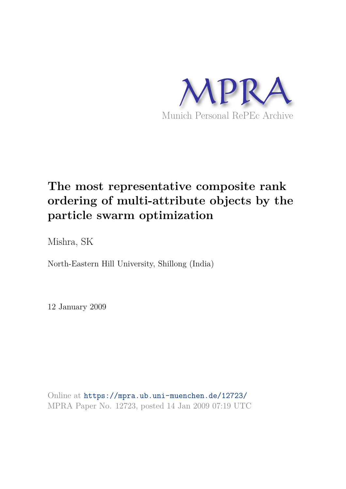

## **The most representative composite rank ordering of multi-attribute objects by the particle swarm optimization**

Mishra, SK

North-Eastern Hill University, Shillong (India)

12 January 2009

Online at https://mpra.ub.uni-muenchen.de/12723/ MPRA Paper No. 12723, posted 14 Jan 2009 07:19 UTC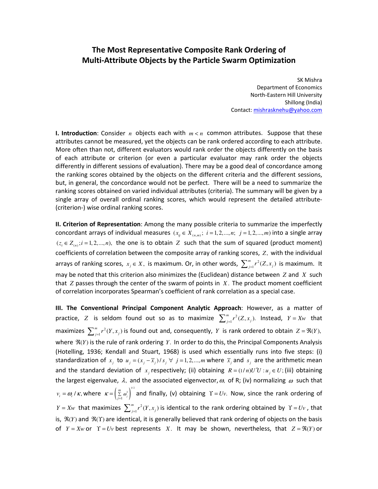## The Most Representative Composite Rank Ordering of Multi-Attribute Objects by the Particle Swarm Optimization

SK Mishra Department of Economics North-Eastern Hill University Shillong (India) Contact: mishrasknehu@yahoo.com

**I. Introduction**: Consider  $n$  objects each with  $m < n$  common attributes. Suppose that these attributes cannot be measured, yet the objects can be rank ordered according to each attribute. More often than not, different evaluators would rank order the objects differently on the basis of each attribute or criterion (or even a particular evaluator may rank order the objects differently in different sessions of evaluation). There may be a good deal of concordance among the ranking scores obtained by the objects on the different criteria and the different sessions, but, in general, the concordance would not be perfect. There will be a need to summarize the ranking scores obtained on varied individual attributes (criteria). The summary will be given by a single array of overall ordinal ranking scores, which would represent the detailed attribute- (criterion-) wise ordinal ranking scores.

II. Criterion of Representation: Among the many possible criteria to summarize the imperfectly concordant arrays of individual measures ( $x_{ij} \in X_{(n,m)}$ ;  $i = 1, 2, ..., n$ ;  $j = 1, 2, ..., m$ ) into a single array  $(z_i \in Z_{(n)}; i = 1, 2, \ldots, n)$ , the one is to obtain *Z* such that the sum of squared (product moment) coefficients of correlation between the composite array of ranking scores, *Z*, with the individual arrays of ranking scores,  $x_j \in X$ , is maximum. Or, in other words,  $\sum_{j=1}^m r^2(Z,x_j)$  is maximum. It may be noted that this criterion also minimizes the (Euclidean) distance between *Z* and *X* such that *Z* passes through the center of the swarm of points in *X*. The product moment coefficient of correlation incorporates Spearman's coefficient of rank correlation as a special case.

III. The Conventional Principal Component Analytic Approach: However, as a matter of practice, *Z* is seldom found out so as to maximize  $\sum_{j=1}^{m} r^2 (Z, x_j)$ . Instead,  $Y = Xw$  that maximizes  $\sum_{j=1}^m r^2(Y,x_j)$  is found out and, consequently, *Y* is rank ordered to obtain  $Z = \Re(Y)$ , where  $\Re(Y)$  is the rule of rank ordering *Y*. In order to do this, the Principal Components Analysis (Hotelling, 1936; Kendall and Stuart, 1968) is used which essentially runs into five steps: (i) standardization of  $x_j$  to  $u_j = (x_j - \overline{x}_j)/s_j \ \forall j = 1, 2, ..., m$  where  $\overline{x}_j$  and  $s_j$  are the arithmetic mean and the standard deviation of  $x_j$  respectively; (ii) obtaining  $R = (1/n)U'U : u_j \in U$ ; (iii) obtaining the largest eigenvalue,  $\lambda$ , and the associated eigenvector,  $\omega$ , of R; (iv) normalizing  $\omega$  such that  $v_i = \omega_i / \kappa$ , where  $\kappa = \left(\frac{m}{\sum_{i=1}^m \omega_i^2}\right)^{1/2}$  $\int_1^{\infty}$ *m*  $K = \left(\frac{m}{j-1} \omega_j^2\right)$  and finally, (v) obtaining  $\Upsilon = Uv$ . Now, since the rank ordering of  $Y = Xw$  that maximizes  $\sum_{j=1}^{m} r^2(Y, x_j)$  is identical to the rank ordering obtained by  $\Upsilon = Uv$ , that is,  $\mathfrak{R}(Y)$  and  $\mathfrak{R}(Y)$  are identical, it is generally believed that rank ordering of objects on the basis of  $Y = Xw$  or  $\Upsilon = Uv$  best represents *X*. It may be shown, nevertheless, that  $Z = \Re(Y)$  or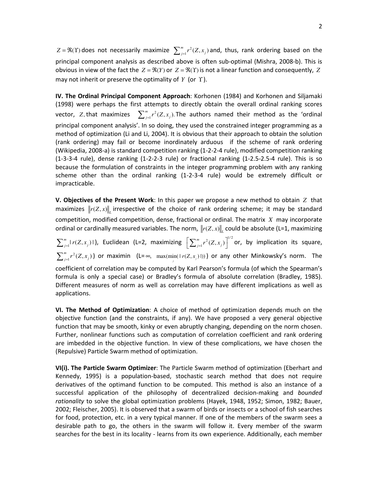$Z = \Re(\Upsilon)$  does not necessarily maximize  $\sum_{j=1}^{m} r^2(Z, x_j)$  and, thus, rank ordering based on the principal component analysis as described above is often sub-optimal (Mishra, 2008-b). This is obvious in view of the fact the  $Z = \Re(Y)$  or  $Z = \Re(Y)$  is not a linear function and consequently, Z may not inherit or preserve the optimality of *Y* (or *Υ*).

IV. The Ordinal Principal Component Approach: Korhonen (1984) and Korhonen and Siljamaki (1998) were perhaps the first attempts to directly obtain the overall ordinal ranking scores vector, Z, that maximizes  $\sum_{j=1}^{m} r^2(Z, x_j)$ . The authors named their method as the 'ordinal principal component analysis'. In so doing, they used the constrained integer programming as a method of optimization (Li and Li, 2004). It is obvious that their approach to obtain the solution (rank ordering) may fail or become inordinately arduous if the scheme of rank ordering (Wikipedia, 2008-a) is standard competition ranking (1-2-2-4 rule), modified competition ranking (1-3-3-4 rule), dense ranking (1-2-2-3 rule) or fractional ranking (1-2.5-2.5-4 rule). This is so because the formulation of constraints in the integer programming problem with any ranking scheme other than the ordinal ranking (1-2-3-4 rule) would be extremely difficult or impracticable.

V. Objectives of the Present Work: In this paper we propose a new method to obtain *Z* that maximizes  $\Vert r(Z, x) \Vert_{L}$  irrespective of the choice of rank ordering scheme; it may be standard competition, modified competition, dense, fractional or ordinal. The matrix *X* may incorporate ordinal or cardinally measured variables. The norm,  $\|r(Z,x)\|_{\scriptscriptstyle\! L}$  could be absolute (L=1, maximizing

 $\sum_{j=1}^m \lfloor r(Z,x_j) \rfloor$ ), Euclidean (L=2, maximizing  $\left[ \sum_{j=1}^m r^2(Z,x_j) \right]^{1/2}$  $\left[ \sum_{j=1}^m r^2(Z,x_j) \right]^{1/2}$  or, by implication its square, 2  $\sum_{j=1}^{m} r^2(Z, x_j)$  or maximin (L= $\infty$ ,  $\max(\min_j(\lfloor r(Z, x_j) \rfloor))$ ) or any other Minkowsky's norm. The coefficient of correlation may be computed by Karl Pearson's formula (of which the Spearman's formula is only a special case) or Bradley's formula of absolute correlation (Bradley, 1985). Different measures of norm as well as correlation may have different implications as well as applications.

VI. The Method of Optimization: A choice of method of optimization depends much on the objective function (and the constraints, if any). We have proposed a very general objective function that may be smooth, kinky or even abruptly changing, depending on the norm chosen. Further, nonlinear functions such as computation of correlation coefficient and rank ordering are imbedded in the objective function. In view of these complications, we have chosen the (Repulsive) Particle Swarm method of optimization.

VI(i). The Particle Swarm Optimizer: The Particle Swarm method of optimization (Eberhart and Kennedy, 1995) is a population-based, stochastic search method that does not require derivatives of the optimand function to be computed. This method is also an instance of a successful application of the philosophy of decentralized decision-making and bounded rationality to solve the global optimization problems (Hayek, 1948, 1952; Simon, 1982; Bauer, 2002; Fleischer, 2005). It is observed that a swarm of birds or insects or a school of fish searches for food, protection, etc. in a very typical manner. If one of the members of the swarm sees a desirable path to go, the others in the swarm will follow it. Every member of the swarm searches for the best in its locality - learns from its own experience. Additionally, each member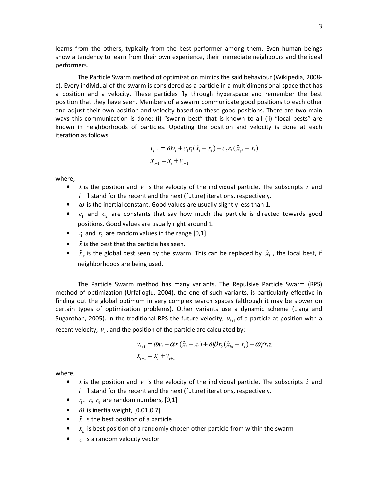learns from the others, typically from the best performer among them. Even human beings show a tendency to learn from their own experience, their immediate neighbours and the ideal performers.

The Particle Swarm method of optimization mimics the said behaviour (Wikipedia, 2008 c). Every individual of the swarm is considered as a particle in a multidimensional space that has a position and a velocity. These particles fly through hyperspace and remember the best position that they have seen. Members of a swarm communicate good positions to each other and adjust their own position and velocity based on these good positions. There are two main ways this communication is done: (i) "swarm best" that is known to all (ii) "local bests" are known in neighborhoods of particles. Updating the position and velocity is done at each iteration as follows:

$$
v_{i+1} = \omega v_i + c_1 r_1 (\hat{x}_i - x_i) + c_2 r_2 (\hat{x}_{gi} - x_i)
$$
  

$$
x_{i+1} = x_i + v_{i+1}
$$

where,

- *x* is the position and *v* is the velocity of the individual particle. The subscripts *i* and  $i+1$  stand for the recent and the next (future) iterations, respectively.
- $\omega$  is the inertial constant. Good values are usually slightly less than 1.
- $\bullet$   $\cdots$   $c_1$  and  $c_2$  are constants that say how much the particle is directed towards good positions. Good values are usually right around 1.
- $r_1$  and  $r_2$  are random values in the range [0,1].
- $\hat{x}$  is the best that the particle has seen.
- $\hat{x}_g$  is the global best seen by the swarm. This can be replaced by  $\hat{x}_L$ , the local best, if neighborhoods are being used.

The Particle Swarm method has many variants. The Repulsive Particle Swarm (RPS) method of optimization (Urfalioglu, 2004), the one of such variants, is particularly effective in finding out the global optimum in very complex search spaces (although it may be slower on certain types of optimization problems). Other variants use a dynamic scheme (Liang and Suganthan, 2005). In the traditional RPS the future velocity,  $v_{i+1}$  of a particle at position with a recent velocity,  $v_i$ , and the position of the particle are calculated by:

$$
v_{i+1} = \omega v_i + \alpha r_1(\hat{x}_i - x_i) + \omega \beta r_2(\hat{x}_{hi} - x_i) + \omega \gamma r_3 z
$$
  

$$
x_{i+1} = x_i + v_{i+1}
$$

where,

- *x* is the position and *v* is the velocity of the individual particle. The subscripts *i* and  $i+1$  stand for the recent and the next (future) iterations, respectively.
- $r_1$ ,  $r_2$   $r_3$  are random numbers, [0,1]
- $\omega$  is inertia weight, [0.01,0.7]
- $\hat{x}$  is the best position of a particle
- $\bar{x}_h$  is best position of a randomly chosen other particle from within the swarm
- *z* is a random velocity vector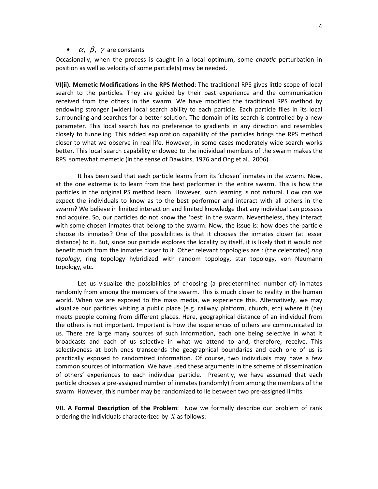## •  $\alpha$ ,  $\beta$ ,  $\gamma$  are constants

Occasionally, when the process is caught in a local optimum, some chaotic perturbation in position as well as velocity of some particle(s) may be needed.

VI(ii). Memetic Modifications in the RPS Method: The traditional RPS gives little scope of local search to the particles. They are guided by their past experience and the communication received from the others in the swarm. We have modified the traditional RPS method by endowing stronger (wider) local search ability to each particle. Each particle flies in its local surrounding and searches for a better solution. The domain of its search is controlled by a new parameter. This local search has no preference to gradients in any direction and resembles closely to tunneling. This added exploration capability of the particles brings the RPS method closer to what we observe in real life. However, in some cases moderately wide search works better. This local search capability endowed to the individual members of the swarm makes the RPS somewhat memetic (in the sense of Dawkins, 1976 and Ong et al., 2006).

It has been said that each particle learns from its 'chosen' inmates in the swarm. Now, at the one extreme is to learn from the best performer in the entire swarm. This is how the particles in the original PS method learn. However, such learning is not natural. How can we expect the individuals to know as to the best performer and interact with all others in the swarm? We believe in limited interaction and limited knowledge that any individual can possess and acquire. So, our particles do not know the 'best' in the swarm. Nevertheless, they interact with some chosen inmates that belong to the swarm. Now, the issue is: how does the particle choose its inmates? One of the possibilities is that it chooses the inmates closer (at lesser distance) to it. But, since our particle explores the locality by itself, it is likely that it would not benefit much from the inmates closer to it. Other relevant topologies are : (the celebrated) ring topology, ring topology hybridized with random topology, star topology, von Neumann topology, etc.

Let us visualize the possibilities of choosing (a predetermined number of) inmates randomly from among the members of the swarm. This is much closer to reality in the human world. When we are exposed to the mass media, we experience this. Alternatively, we may visualize our particles visiting a public place (e.g. railway platform, church, etc) where it (he) meets people coming from different places. Here, geographical distance of an individual from the others is not important. Important is how the experiences of others are communicated to us. There are large many sources of such information, each one being selective in what it broadcasts and each of us selective in what we attend to and, therefore, receive. This selectiveness at both ends transcends the geographical boundaries and each one of us is practically exposed to randomized information. Of course, two individuals may have a few common sources of information. We have used these arguments in the scheme of dissemination of others' experiences to each individual particle. Presently, we have assumed that each particle chooses a pre-assigned number of inmates (randomly) from among the members of the swarm. However, this number may be randomized to lie between two pre-assigned limits.

VII. A Formal Description of the Problem: Now we formally describe our problem of rank ordering the individuals characterized by *X* as follows: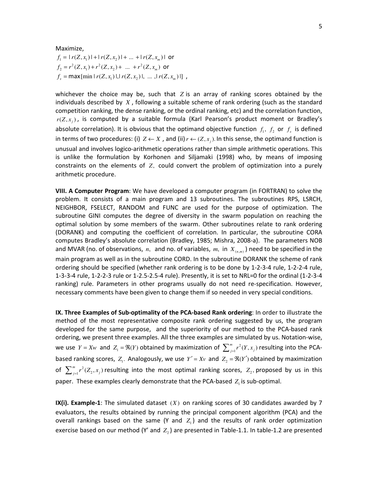Maximize,  $f_1 = |r(Z, x_1)| + |r(Z, x_2)| + ... + |r(Z, x_m)|$  or  $f_2 = r^2(Z, x_1) + r^2(Z, x_2) + \dots + r^2(Z, x_m)$  or  $f_s$  = max [min |  $r(Z, x_1)$  |,|  $r(Z, x_2)$  |, ... ,|  $r(Z, x_m)$  |] ,

whichever the choice may be, such that *Z* is an array of ranking scores obtained by the individuals described by *X* , following a suitable scheme of rank ordering (such as the standard competition ranking, the dense ranking, or the ordinal ranking, etc) and the correlation function,  $r(Z, x_j)$ , is computed by a suitable formula (Karl Pearson's product moment or Bradley's absolute correlation). It is obvious that the optimand objective function  $f_1$ ,  $f_2$  or  $f_s$  is defined in terms of two procedures: (i)  $Z \leftarrow X$  , and (ii)  $r \leftarrow (Z, x_j)$ . In this sense, the optimand function is unusual and involves logico-arithmetic operations rather than simple arithmetic operations. This is unlike the formulation by Korhonen and Siljamaki (1998) who, by means of imposing constraints on the elements of *Z*, could convert the problem of optimization into a purely arithmetic procedure.

VIII. A Computer Program: We have developed a computer program (in FORTRAN) to solve the problem. It consists of a main program and 13 subroutines. The subroutines RPS, LSRCH, NEIGHBOR, FSELECT, RANDOM and FUNC are used for the purpose of optimization. The subroutine GINI computes the degree of diversity in the swarm population on reaching the optimal solution by some members of the swarm. Other subroutines relate to rank ordering (DORANK) and computing the coefficient of correlation. In particular, the subroutine CORA computes Bradley's absolute correlation (Bradley, 1985; Mishra, 2008-a). The parameters NOB and MVAR (no. of observations,  $n$ , and no. of variables,  $m$ , in  $X_{(n,m)}$ ) need to be specified in the main program as well as in the subroutine CORD. In the subroutine DORANK the scheme of rank ordering should be specified (whether rank ordering is to be done by 1-2-3-4 rule, 1-2-2-4 rule, 1-3-3-4 rule, 1-2-2-3 rule or 1-2.5-2.5-4 rule). Presently, it is set to NRL=0 for the ordinal (1-2-3-4 ranking) rule. Parameters in other programs usually do not need re-specification. However, necessary comments have been given to change them if so needed in very special conditions.

IX. Three Examples of Sub-optimality of the PCA-based Rank ordering: In order to illustrate the method of the most representative composite rank ordering suggested by us, the program developed for the same purpose, and the superiority of our method to the PCA-based rank ordering, we present three examples. All the three examples are simulated by us. Notation-wise, we use  $Y = Xw$  and  $Z_1 = \Re(Y)$  obtained by maximization of  $\sum_{j=1}^m r^2(Y, x_j)$  resulting into the PCAbased ranking scores,  $Z_1$ . Analogously, we use  $Y' = Xv$  and  $Z_2 = \Re(Y')$  obtained by maximization of  $\sum_{j=1}^m r^2(Z_2, x_j)$  resulting into the most optimal ranking scores,  $Z_2$ , proposed by us in this paper. These examples clearly demonstrate that the PCA-based  $Z_{\rm i}$  is sub-optimal.

**IX(i). Example-1**: The simulated dataset (X) on ranking scores of 30 candidates awarded by 7 evaluators, the results obtained by running the principal component algorithm (PCA) and the overall rankings based on the same (Y and  $Z_1$ ) and the results of rank order optimization exercise based on our method (Y' and  $Z_2$ ) are presented in Table-1.1. In table-1.2 are presented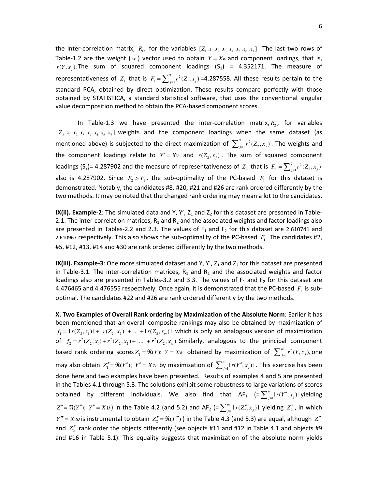the inter-correlation matrix,  $R_1$ , for the variables  $[Z_1 x_1 x_2 x_3 x_4 x_5 x_6 x_7]$ . The last two rows of Table-1.2 are the weight ( $w$ ) vector used to obtain  $Y = Xw$  and component loadings, that is,  $r(Y, x_j)$ . The sum of squared component loadings  $(S_1) = 4.352171$ . The measure of representativeness of  $Z_1$  that is  $F_1 = \sum_{j=1}^7 r^2 (Z_1, x_j)$  =4.287558. All these results pertain to the standard PCA, obtained by direct optimization. These results compare perfectly with those obtained by STATISTICA, a standard statistical software, that uses the conventional singular value decomposition method to obtain the PCA-based component scores.

In Table-1.3 we have presented the inter-correlation matrix,  $R_2$ , for variables  $[Z_2, x_1, x_2, x_3, x_4, x_5, x_6, x_7]$ , weights and the component loadings when the same dataset (as mentioned above) is subjected to the direct maximization of  $\sum_{j=1}^{7} r^2(Z_2, x_j)$ . The weights and the component loadings relate to  $Y' = Xv$  and  $r(Z_2, x_j)$ . The sum of squared component loadings (S<sub>2</sub>)= 4.287902 and the measure of representativeness of  $Z_2$  that is  $F_2 = \sum_{j=1}^7 r^2 (Z_2, x_j)$ also is 4.287902. Since  $F_2 > F_1$ , the sub-optimality of the PC-based  $F_1$  for this dataset is demonstrated. Notably, the candidates #8, #20, #21 and #26 are rank ordered differently by the two methods. It may be noted that the changed rank ordering may mean a lot to the candidates.

IX(ii). Example-2: The simulated data and Y, Y',  $Z_1$  and  $Z_2$  for this dataset are presented in Table-2.1. The inter-correlation matrices,  $R_1$  and  $R_2$  and the associated weights and factor loadings also are presented in Tables-2.2 and 2.3. The values of  $F_1$  and  $F_2$  for this dataset are 2.610741 and 2.610967 respectively. This also shows the sub-optimality of the PC-based  $F_1$ . The candidates #2, #5, #12, #13, #14 and #30 are rank ordered differently by the two methods.

**IX(iii). Example-3**: One more simulated dataset and Y, Y',  $Z_1$  and  $Z_2$  for this dataset are presented in Table-3.1. The inter-correlation matrices,  $R_1$  and  $R_2$  and the associated weights and factor loadings also are presented in Tables-3.2 and 3.3. The values of  $F_1$  and  $F_2$  for this dataset are 4.476465 and 4.476555 respectively. Once again, it is demonstrated that the PC-based  $|F_1|$  is suboptimal. The candidates #22 and #26 are rank ordered differently by the two methods.

X. Two Examples of Overall Rank ordering by Maximization of the Absolute Norm: Earlier it has been mentioned that an overall composite rankings may also be obtained by maximization of  $f_1 = |r(Z_2, x_1)| + |r(Z_2, x_2)| + ... + |r(Z_2, x_m)|$  which is only an analogous version of maximization of  $f_2 = r^2(Z_2, x_1) + r^2(Z_2, x_2) + ... + r^2(Z_2, x_m)$ . Similarly, analogous to the principal component based rank ordering scores  $Z_i = \Re(Y)$ ;  $Y = Xw$  obtained by maximization of  $\sum_{j=1}^{m} r^2(Y, x_j)$ , one may also obtain  $Z''_1 = \Re(Y'')$ ;  $Y'' = Xv$  by maximization of  $\sum_{j=1}^m |r(Y'', x_j)|$ . This exercise has been done here and two examples have been presented. Results of examples 4 and 5 are presented in the Tables 4.1 through 5.3. The solutions exhibit some robustness to large variations of scores obtained by different individuals. We also find that  $AF_1$  (= $\sum_{j=1}^{m} |r(Y'', x_j)|$ yielding  $Z''_1 = \Re(Y'')$ ;  $Y'' = Xv$ ) in the Table 4.2 (and 5.2) and AF<sub>2</sub> (=  $\sum_{j=1}^{m} |r(Z''_2, x_j)|$  yielding  $Z''_2$ , in which  $Y''' = X \omega$  is instrumental to obtain  $Z''_2 = \Re(Y''')$  ) in the Table 4.3 (and 5.3) are equal, although  $Z''_1$ and  $Z''_2$  rank order the objects differently (see objects #11 and #12 in Table 4.1 and objects #9 and #16 in Table 5.1). This equality suggests that maximization of the absolute norm yields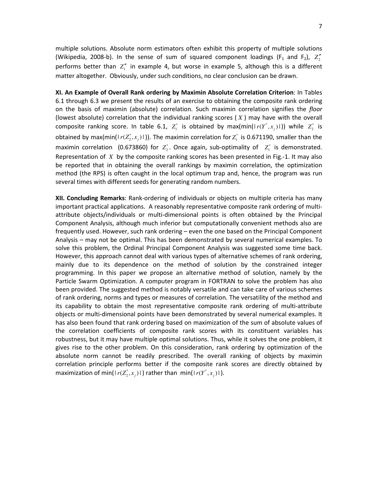multiple solutions. Absolute norm estimators often exhibit this property of multiple solutions (Wikipedia, 2008-b). In the sense of sum of squared component loadings (F<sub>1</sub> and F<sub>2</sub>),  $Z_2''$ performs better than  $Z''_1$  in example 4, but worse in example 5, although this is a different matter altogether. Obviously, under such conditions, no clear conclusion can be drawn.

XI. An Example of Overall Rank ordering by Maximin Absolute Correlation Criterion: In Tables 6.1 through 6.3 we present the results of an exercise to obtaining the composite rank ordering on the basis of maximin (absolute) correlation. Such maximin correlation signifies the floor (lowest absolute) correlation that the individual ranking scores ( *X* ) may have with the overall composite ranking score. In table 6.1,  $Z_1^*$  is obtained by max(min( $\lceil r(Y^*, x_j) \rceil$ )) while  $Z_2^*$  is obtained by max(min( $\lceil r(Z_2^*, x_j) \rceil$ )). The maximin correlation for  $Z_1^*$  is 0.671190, smaller than the maximin correlation (0.673860) for  $Z_2^*$ . Once again, sub-optimality of  $Z_1^*$  is demonstrated. Representation of *X* by the composite ranking scores has been presented in Fig.-1. It may also be reported that in obtaining the overall rankings by maximin correlation, the optimization method (the RPS) is often caught in the local optimum trap and, hence, the program was run several times with different seeds for generating random numbers.

XII. Concluding Remarks: Rank-ordering of individuals or objects on multiple criteria has many important practical applications. A reasonably representative composite rank ordering of multiattribute objects/individuals or multi-dimensional points is often obtained by the Principal Component Analysis, although much inferior but computationally convenient methods also are frequently used. However, such rank ordering – even the one based on the Principal Component Analysis – may not be optimal. This has been demonstrated by several numerical examples. To solve this problem, the Ordinal Principal Component Analysis was suggested some time back. However, this approach cannot deal with various types of alternative schemes of rank ordering, mainly due to its dependence on the method of solution by the constrained integer programming. In this paper we propose an alternative method of solution, namely by the Particle Swarm Optimization. A computer program in FORTRAN to solve the problem has also been provided. The suggested method is notably versatile and can take care of various schemes of rank ordering, norms and types or measures of correlation. The versatility of the method and its capability to obtain the most representative composite rank ordering of multi-attribute objects or multi-dimensional points have been demonstrated by several numerical examples. It has also been found that rank ordering based on maximization of the sum of absolute values of the correlation coefficients of composite rank scores with its constituent variables has robustness, but it may have multiple optimal solutions. Thus, while it solves the one problem, it gives rise to the other problem. On this consideration, rank ordering by optimization of the absolute norm cannot be readily prescribed. The overall ranking of objects by maximin correlation principle performs better if the composite rank scores are directly obtained by  $maximization of min( |r(Z_2^*, x_j)| )$  rather than  $min( |r(Y^*, x_j)| )$ .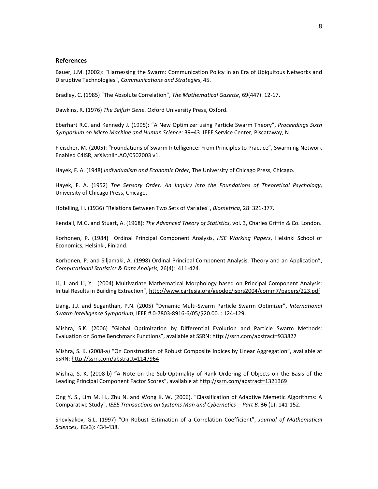## References

Bauer, J.M. (2002): "Harnessing the Swarm: Communication Policy in an Era of Ubiquitous Networks and Disruptive Technologies", Communications and Strategies, 45.

Bradley, C. (1985) "The Absolute Correlation", The Mathematical Gazette, 69(447): 12-17.

Dawkins, R. (1976) The Selfish Gene. Oxford University Press, Oxford.

Eberhart R.C. and Kennedy J. (1995): "A New Optimizer using Particle Swarm Theory", Proceedings Sixth Symposium on Micro Machine and Human Science: 39–43. IEEE Service Center, Piscataway, NJ.

Fleischer, M. (2005): "Foundations of Swarm Intelligence: From Principles to Practice", Swarming Network Enabled C4ISR, arXiv:nlin.AO/0502003 v1.

Hayek, F. A. (1948) Individualism and Economic Order, The University of Chicago Press, Chicago.

Hayek, F. A. (1952) The Sensory Order: An Inquiry into the Foundations of Theoretical Psychology, University of Chicago Press, Chicago.

Hotelling, H. (1936) "Relations Between Two Sets of Variates", Biometrica, 28: 321-377.

Kendall, M.G. and Stuart, A. (1968): The Advanced Theory of Statistics, vol. 3, Charles Griffin & Co. London.

Korhonen, P. (1984) Ordinal Principal Component Analysis, HSE Working Papers, Helsinki School of Economics, Helsinki, Finland.

Korhonen, P. and Siljamaki, A. (1998) Ordinal Principal Component Analysis. Theory and an Application", Computational Statistics & Data Analysis, 26(4): 411-424.

Li, J. and Li, Y. (2004) Multivariate Mathematical Morphology based on Principal Component Analysis: Initial Results in Building Extraction", http://www.cartesia.org/geodoc/isprs2004/comm7/papers/223.pdf

Liang, J.J. and Suganthan, P.N. (2005) "Dynamic Multi-Swarm Particle Swarm Optimizer", International Swarm Intelligence Symposium, IEEE # 0-7803-8916-6/05/\$20.00. : 124-129.

Mishra, S.K. (2006) "Global Optimization by Differential Evolution and Particle Swarm Methods: Evaluation on Some Benchmark Functions", available at SSRN: http://ssrn.com/abstract=933827

Mishra, S. K. (2008-a) "On Construction of Robust Composite Indices by Linear Aggregation", available at SSRN: http://ssrn.com/abstract=1147964

Mishra, S. K. (2008-b) "A Note on the Sub-Optimality of Rank Ordering of Objects on the Basis of the Leading Principal Component Factor Scores", available at http://ssrn.com/abstract=1321369

Ong Y. S., Lim M. H., Zhu N. and Wong K. W. (2006). "Classification of Adaptive Memetic Algorithms: A Comparative Study". IEEE Transactions on Systems Man and Cybernetics -- Part B. 36 (1): 141-152.

Shevlyakov, G.L. (1997) "On Robust Estimation of a Correlation Coefficient", Journal of Mathematical Sciences, 83(3): 434-438.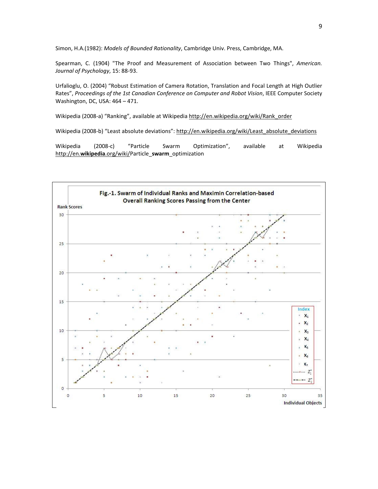Simon, H.A.(1982): Models of Bounded Rationality, Cambridge Univ. Press, Cambridge, MA.

Spearman, C. (1904) "The Proof and Measurement of Association between Two Things", American. Journal of Psychology, 15: 88-93.

Urfalioglu, O. (2004) "Robust Estimation of Camera Rotation, Translation and Focal Length at High Outlier Rates", Proceedings of the 1st Canadian Conference on Computer and Robot Vision, IEEE Computer Society Washington, DC, USA: 464 – 471.

Wikipedia (2008-a) "Ranking", available at Wikipedia http://en.wikipedia.org/wiki/Rank\_order

Wikipedia (2008-b) "Least absolute deviations": http://en.wikipedia.org/wiki/Least\_absolute\_deviations

Wikipedia (2008-c) "Particle Swarm Optimization", available at Wikipedia http://en.wikipedia.org/wiki/Particle swarm optimization

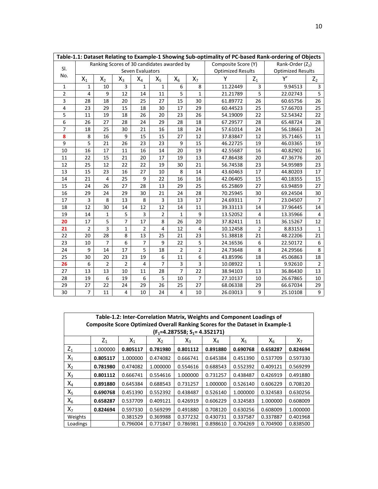|                | Table-1.1: Dataset Relating to Example-1 Showing Sub-optimality of PC-based Rank-ordering of Objects |                |                |                                            |                |                |       |                          |                |                              |                |  |
|----------------|------------------------------------------------------------------------------------------------------|----------------|----------------|--------------------------------------------|----------------|----------------|-------|--------------------------|----------------|------------------------------|----------------|--|
|                |                                                                                                      |                |                | Ranking Scores of 30 candidates awarded by |                |                |       | Composite Score (Y)      |                | Rank-Order (Z <sub>2</sub> ) |                |  |
| SI.            |                                                                                                      |                |                | Seven Evaluators                           |                |                |       | <b>Optimized Results</b> |                | <b>Optimized Results</b>     |                |  |
| No.            | $X_1$                                                                                                | $X_2$          | $X_3$          | $X_4$                                      | $X_5$          | $X_6$          | $X_7$ | Υ                        | $Z_1$          | Y                            | $Z_2$          |  |
| 1              | 1                                                                                                    | 10             | 3              | 1                                          | 1              | 6              | 8     | 11.22449                 | 3              | 9.94513                      | $\mathsf 3$    |  |
| 2              | 4                                                                                                    | 9              | 12             | 14                                         | 11             | 5              | 1     | 21.21789                 | 5              | 22.02743                     | $\overline{5}$ |  |
| 3              | 28                                                                                                   | 18             | 20             | 25                                         | 27             | 15             | 30    | 61.89772                 | 26             | 60.65756                     | 26             |  |
| 4              | 23                                                                                                   | 29             | 15             | 18                                         | 30             | 17             | 29    | 60.44523                 | 25             | 57.66703                     | 25             |  |
| 5              | 11                                                                                                   | 19             | 18             | 26                                         | 20             | 23             | 26    | 54.19009                 | 22             | 52.54342                     | 22             |  |
| $\overline{6}$ | 26                                                                                                   | 27             | 28             | 24                                         | 29             | 28             | 18    | 67.29577                 | 28             | 65.48724                     | 28             |  |
| 7              | 18                                                                                                   | 25             | 30             | 21                                         | 16             | 18             | 24    | 57.61014                 | 24             | 56.18663                     | 24             |  |
| 8              | 8                                                                                                    | 16             | 9              | 15                                         | 15             | 27             | 12    | 37.83847                 | 12             | 35.71465                     | 11             |  |
| 9              | 5                                                                                                    | 21             | 26             | 23                                         | 23             | 9              | 15    | 46.22725                 | 19             | 46.03365                     | 19             |  |
| 10             | 16                                                                                                   | 17             | 11             | 16                                         | 14             | 20             | 19    | 42.55687                 | 16             | 40.82902                     | 16             |  |
| 11             | 22                                                                                                   | 15             | 21             | 20                                         | 17             | 19             | 13    | 47.86438                 | 20             | 47.36776                     | 20             |  |
| 12             | 25                                                                                                   | 12             | 22             | 22                                         | 19             | 30             | 21    | 56.74538                 | 23             | 54.95989                     | 23             |  |
| 13             | 15                                                                                                   | 23             | 16             | 27                                         | 10             | 8              | 14    | 43.60463                 | 17             | 44.80203                     | 17             |  |
| 14             | 21                                                                                                   | 4              | 25             | 9                                          | 22             | 16             | 16    | 42.06405                 | 15             | 40.18355                     | 15             |  |
| 15             | 24                                                                                                   | 26             | 27             | 28                                         | 13             | 29             | 25    | 65.25869                 | 27             | 63.94859                     | 27             |  |
| 16             | 29                                                                                                   | 24             | 29             | 30                                         | 21             | 24             | 28    | 70.25945                 | 30             | 69.24504                     | 30             |  |
| 17             | 3                                                                                                    | 8              | 13             | 8                                          | 3              | 13             | 17    | 24.69311                 | 7              | 23.04507                     | 7              |  |
| 18             | 12                                                                                                   | 30             | 14             | 12                                         | 12             | 14             | 11    | 39.33113                 | 14             | 37.96445                     | 14             |  |
| 19             | 14                                                                                                   | 1              | 5              | 3                                          | $\overline{2}$ | 1              | 9     | 13.52052                 | $\overline{4}$ | 13.35966                     | 4              |  |
| 20             | 17                                                                                                   | 5              | $\overline{7}$ | 17                                         | 8              | 26             | 20    | 37.82411                 | 11             | 36.15267                     | 12             |  |
| 21             | 2                                                                                                    | 3              | $\mathbf 1$    | $\overline{2}$                             | 4              | 12             | 4     | 10.12458                 | $\overline{2}$ | 8.83153                      | $\mathbf{1}$   |  |
| 22             | 20                                                                                                   | 28             | 8              | 13                                         | 25             | 21             | 23    | 51.38818                 | 21             | 48.22206                     | 21             |  |
| 23             | 10                                                                                                   | 7              | 6              | 7                                          | 9              | 22             | 5     | 24.16536                 | 6              | 22.50172                     | 6              |  |
| 24             | 9                                                                                                    | 14             | 17             | 5                                          | 18             | $\overline{2}$ | 2     | 24.73648                 | 8              | 24.29566                     | 8              |  |
| 25             | 30                                                                                                   | 20             | 23             | 19                                         | 6              | 11             | 6     | 43.85996                 | 18             | 45.06863                     | 18             |  |
| 26             | 6                                                                                                    | $\overline{2}$ | $\overline{2}$ | 4                                          | 7              | 3              | 3     | 10.08922                 | $\mathbf{1}$   | 9.92610                      | $\overline{2}$ |  |
| 27             | 13                                                                                                   | 13             | 10             | 11                                         | 28             | 7              | 22    | 38.94103                 | 13             | 36.86430                     | 13             |  |
| 28             | 19                                                                                                   | 6              | 19             | 6                                          | 5              | 10             | 7     | 27.10137                 | 10             | 26.67865                     | 10             |  |
| 29             | 27                                                                                                   | 22             | 24             | 29                                         | 26             | 25             | 27    | 68.06338                 | 29             | 66.67034                     | 29             |  |
| 30             | 7                                                                                                    | 11             | 4              | 10                                         | 24             | 4              | 10    | 26.03013                 | 9              | 25.10108                     | 9              |  |

|                | Table-1.2: Inter-Correlation Matrix, Weights and Component Loadings of<br>Composite Score Optimized Overall Ranking Scores for the Dataset in Example-1 |          |          |          |          |          |          |          |  |  |  |  |  |  |
|----------------|---------------------------------------------------------------------------------------------------------------------------------------------------------|----------|----------|----------|----------|----------|----------|----------|--|--|--|--|--|--|
|                | $(F_1=4.287558; S_1=4.352171)$                                                                                                                          |          |          |          |          |          |          |          |  |  |  |  |  |  |
|                | $Z_1$<br>$X_5$<br>$X_1$<br>$X_6$<br>$X_7$<br>$X_2$<br>X,<br>$X_4$                                                                                       |          |          |          |          |          |          |          |  |  |  |  |  |  |
| $Z_1$          | 1.000000                                                                                                                                                | 0.805117 | 0.781980 | 0.801112 | 0.891880 | 0.690768 | 0.658287 | 0.824694 |  |  |  |  |  |  |
| $X_1$          | 0.805117                                                                                                                                                | 1.000000 | 0.474082 | 0.666741 | 0.645384 | 0.451390 | 0.537709 | 0.597330 |  |  |  |  |  |  |
| $X_2$          | 0.781980                                                                                                                                                | 0.474082 | 1.000000 | 0.554616 | 0.688543 | 0.552392 | 0.409121 | 0.569299 |  |  |  |  |  |  |
| $X_3$          | 0.801112                                                                                                                                                | 0.666741 | 0.554616 | 1.000000 | 0.731257 | 0.438487 | 0.426919 | 0.491880 |  |  |  |  |  |  |
| $X_4$          | 0.891880                                                                                                                                                | 0.645384 | 0.688543 | 0.731257 | 1.000000 | 0.526140 | 0.606229 | 0.708120 |  |  |  |  |  |  |
| $X_5$          | 0.690768                                                                                                                                                | 0.451390 | 0.552392 | 0.438487 | 0.526140 | 1.000000 | 0.324583 | 0.630256 |  |  |  |  |  |  |
| $X_6$          | 0.658287                                                                                                                                                | 0.537709 | 0.409121 | 0.426919 | 0.606229 | 0.324583 | 1.000000 | 0.608009 |  |  |  |  |  |  |
| X <sub>7</sub> | 0.824694                                                                                                                                                | 0.597330 | 0.569299 | 0.491880 | 0.708120 | 0.630256 | 0.608009 | 1.000000 |  |  |  |  |  |  |
| Weights        |                                                                                                                                                         | 0.381529 | 0.369988 | 0.377232 | 0.430731 | 0.337587 | 0.337887 | 0.401968 |  |  |  |  |  |  |
| Loadings       |                                                                                                                                                         | 0.796004 | 0.771847 | 0.786981 | 0.898610 | 0.704269 | 0.704900 | 0.838500 |  |  |  |  |  |  |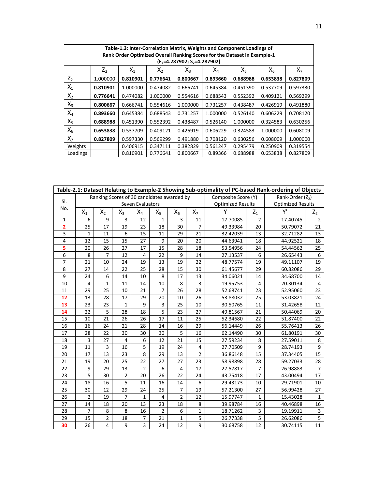| Table-1.3: Inter-Correlation Matrix, Weights and Component Loadings of   |                                |                                                                                  |          |          |          |          |          |          |  |  |  |  |  |  |
|--------------------------------------------------------------------------|--------------------------------|----------------------------------------------------------------------------------|----------|----------|----------|----------|----------|----------|--|--|--|--|--|--|
| Rank Order Optimized Overall Ranking Scores for the Dataset in Example-1 |                                |                                                                                  |          |          |          |          |          |          |  |  |  |  |  |  |
|                                                                          | $(F_2=4.287902; S_2=4.287902)$ |                                                                                  |          |          |          |          |          |          |  |  |  |  |  |  |
|                                                                          | $Z_2$                          | $X_1$<br>$X_5$<br>$X_6$<br>$X_7$<br>$X_2$<br>$X_{3}$<br>$X_4$                    |          |          |          |          |          |          |  |  |  |  |  |  |
| $Z_2$                                                                    | 1.000000                       | 0.810901                                                                         | 0.776641 | 0.800667 | 0.893660 | 0.688988 | 0.653838 | 0.827809 |  |  |  |  |  |  |
| $X_1$                                                                    | 0.810901                       | 1.000000                                                                         | 0.474082 | 0.666741 | 0.645384 | 0.451390 | 0.537709 | 0.597330 |  |  |  |  |  |  |
| $X_2$                                                                    | 0.776641                       | 1.000000<br>0.552392<br>0.409121<br>0.569299<br>0.474082<br>0.554616<br>0.688543 |          |          |          |          |          |          |  |  |  |  |  |  |
| $X_3$                                                                    | 0.800667                       | 0.666741                                                                         | 0.554616 | 1.000000 | 0.731257 | 0.438487 | 0.426919 | 0.491880 |  |  |  |  |  |  |
| $X_4$                                                                    | 0.893660                       | 0.645384                                                                         | 0.688543 | 0.731257 | 1.000000 | 0.526140 | 0.606229 | 0.708120 |  |  |  |  |  |  |
| $X_5$                                                                    | 0.688988                       | 0.451390                                                                         | 0.552392 | 0.438487 | 0.526140 | 1.000000 | 0.324583 | 0.630256 |  |  |  |  |  |  |
| $X_6$                                                                    | 0.653838                       | 0.537709                                                                         | 0.409121 | 0.426919 | 0.606229 | 0.324583 | 1.000000 | 0.608009 |  |  |  |  |  |  |
| $X_7$                                                                    | 0.827809                       | 0.597330                                                                         | 0.569299 | 0.491880 | 0.708120 | 0.630256 | 0.608009 | 1.000000 |  |  |  |  |  |  |
| Weights                                                                  |                                | 0.406915                                                                         | 0.347111 | 0.382829 | 0.561247 | 0.295479 | 0.250909 | 0.319554 |  |  |  |  |  |  |
| Loadings                                                                 |                                | 0.810901                                                                         | 0.776641 | 0.800667 | 0.89366  | 0.688988 | 0.653838 | 0.827809 |  |  |  |  |  |  |

|                | Table-2.1: Dataset Relating to Example-2 Showing Sub-optimality of PC-based Rank-ordering of Objects |                |                |                                            |              |                |       |                          |                |                              |                |  |
|----------------|------------------------------------------------------------------------------------------------------|----------------|----------------|--------------------------------------------|--------------|----------------|-------|--------------------------|----------------|------------------------------|----------------|--|
|                |                                                                                                      |                |                | Ranking Scores of 30 candidates awarded by |              |                |       | Composite Score (Y)      |                | Rank-Order (Z <sub>2</sub> ) |                |  |
| SI.            |                                                                                                      |                |                | Seven Evaluators                           |              |                |       | <b>Optimized Results</b> |                | <b>Optimized Results</b>     |                |  |
| No.            | $X_1$                                                                                                | $X_2$          | $X_3$          | $X_4$                                      | $X_5$        | $X_6$          | $X_7$ | Υ                        | $Z_1$          | Y                            | $Z_2$          |  |
| $\mathbf{1}$   | 6                                                                                                    | 9              | 3              | 12                                         | $\mathbf{1}$ | 3              | 11    | 17.70085                 | $\overline{2}$ | 17.40745                     | $\overline{2}$ |  |
| $\overline{2}$ | 25                                                                                                   | 17             | 19             | 23                                         | 18           | 30             | 7     | 49.33984                 | 20             | 50.79072                     | 21             |  |
| 3              | 1                                                                                                    | 11             | 6              | 15                                         | 11           | 29             | 21    | 32.42039                 | 13             | 32.71282                     | 13             |  |
| $\overline{4}$ | 12                                                                                                   | 15             | 15             | 27                                         | 9            | 20             | 20    | 44.63941                 | 18             | 44.92521                     | 18             |  |
| 5              | 20                                                                                                   | 26             | 27             | 17                                         | 15           | 28             | 18    | 53.54956                 | 24             | 54.44562                     | 25             |  |
| 6              | 8                                                                                                    | $\overline{7}$ | 12             | 4                                          | 22           | 9              | 14    | 27.13537                 | 6              | 26.65443                     | 6              |  |
| $\overline{7}$ | 21                                                                                                   | 10             | 24             | 19                                         | 13           | 19             | 22    | 48.77574                 | 19             | 49.11107                     | 19             |  |
| 8              | 27                                                                                                   | 14             | 22             | 25                                         | 28           | 15             | 30    | 61.45677                 | 29             | 60.82086                     | 29             |  |
| 9              | 24                                                                                                   | 6              | 14             | 10                                         | 8            | 17             | 13    | 34.06021                 | 14             | 34.68700                     | 14             |  |
| 10             | 4                                                                                                    | 1              | 11             | 14                                         | 10           | 8              | 3     | 19.95753                 | 4              | 20.30134                     | 4              |  |
| 11             | 29                                                                                                   | 25             | 10             | 21                                         | 7            | 26             | 28    | 52.68741                 | 23             | 52.95060                     | 23             |  |
| 12             | 13                                                                                                   | 28             | 17             | 29                                         | 20           | 10             | 26    | 53.88032                 | 25             | 53.03821                     | 24             |  |
| 13             | 23                                                                                                   | 23             | 1              | 9                                          | 3            | 25             | 10    | 30.50765                 | 11             | 31.42658                     | 12             |  |
| 14             | 22                                                                                                   | 5              | 28             | 18                                         | 5            | 23             | 27    | 49.81567                 | 21             | 50.44069                     | 20             |  |
| 15             | 10                                                                                                   | 21             | 26             | 26                                         | 17           | 11             | 25    | 52.34680                 | 22             | 51.87400                     | 22             |  |
| 16             | 16                                                                                                   | 24             | 21             | 28                                         | 14           | 16             | 29    | 56.14449                 | 26             | 55.76413                     | 26             |  |
| 17             | 28                                                                                                   | 22             | 30             | 30                                         | 30           | 5              | 16    | 62.14490                 | 30             | 61.80191                     | 30             |  |
| 18             | 3                                                                                                    | 27             | 4              | 6                                          | 12           | 21             | 15    | 27.59234                 | 8              | 27.59011                     | 8              |  |
| 19             | 11                                                                                                   | 3              | 16             | 5                                          | 19           | 24             | 4     | 27.70509                 | 9              | 28.74193                     | 9              |  |
| 20             | 17                                                                                                   | 13             | 23             | 8                                          | 29           | 13             | 2     | 36.86148                 | 15             | 37.34405                     | 15             |  |
| 21             | 19                                                                                                   | 20             | 25             | 22                                         | 27           | 27             | 23    | 58.98898                 | 28             | 59.27033                     | 28             |  |
| 22             | 9                                                                                                    | 29             | 13             | $\overline{2}$                             | 6            | $\overline{4}$ | 17    | 27.57817                 | $\overline{7}$ | 26.98883                     | $\overline{7}$ |  |
| 23             | 5                                                                                                    | 30             | 2              | 20                                         | 26           | 22             | 24    | 43.75418                 | 17             | 43.00494                     | 17             |  |
| 24             | 18                                                                                                   | 16             | 5              | 11                                         | 16           | 14             | 6     | 29.43173                 | 10             | 29.71901                     | 10             |  |
| 25             | 30                                                                                                   | 12             | 29             | 24                                         | 25           | 7              | 19    | 57.21300                 | 27             | 56.99428                     | 27             |  |
| 26             | $\overline{2}$                                                                                       | 19             | $\overline{7}$ | $\mathbf{1}$                               | 4            | 2              | 12    | 15.97747                 | $\mathbf{1}$   | 15.43028                     | $\mathbf{1}$   |  |
| 27             | 14                                                                                                   | 18             | 20             | 13                                         | 23           | 18             | 8     | 39.98784                 | 16             | 40.46898                     | 16             |  |
| 28             | 7                                                                                                    | 8              | 8              | 16                                         | 2            | 6              | 1     | 18.71262                 | 3              | 19.19911                     | 3              |  |
| 29             | 15                                                                                                   | 2              | 18             | 7                                          | 21           | 1              | 5     | 26.77338                 | 5              | 26.62086                     | $\overline{5}$ |  |
| 30             | 26                                                                                                   | 4              | 9              | $\overline{3}$                             | 24           | 12             | 9     | 30.68758                 | 12             | 30.74115                     | 11             |  |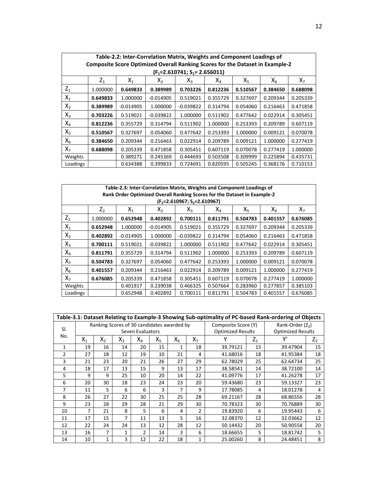| Table-2.2: Inter-Correlation Matrix, Weights and Component Loadings of        |                                                                                  |                                                         |             |             |          |          |          |          |  |  |  |  |  |
|-------------------------------------------------------------------------------|----------------------------------------------------------------------------------|---------------------------------------------------------|-------------|-------------|----------|----------|----------|----------|--|--|--|--|--|
| Composite Score Optimized Overall Ranking Scores for the Dataset in Example-2 |                                                                                  |                                                         |             |             |          |          |          |          |  |  |  |  |  |
| $(F_1=2.610741; S_1=2.656011)$                                                |                                                                                  |                                                         |             |             |          |          |          |          |  |  |  |  |  |
|                                                                               | $Z_1$                                                                            | $X_1$<br>$X_6$<br>$X_7$<br>$X_5$<br>X,<br>$X_{3}$<br>X4 |             |             |          |          |          |          |  |  |  |  |  |
| $Z_1$                                                                         | 1.000000                                                                         | 0.649833                                                | 0.389989    | 0.703226    | 0.812236 | 0.510567 | 0.384650 | 0.688098 |  |  |  |  |  |
| $X_1$                                                                         | 0.649833                                                                         | 1.000000                                                | $-0.014905$ | 0.519021    | 0.355729 | 0.327697 | 0.209344 | 0.205339 |  |  |  |  |  |
| $X_2$                                                                         | 0.389989                                                                         | $-0.014905$                                             | 1.000000    | $-0.039822$ | 0.314794 | 0.054060 | 0.216463 | 0.471858 |  |  |  |  |  |
| $X_3$                                                                         | 0.703226                                                                         | 0.519021                                                | $-0.039822$ | 1.000000    | 0.511902 | 0.477642 | 0.022914 | 0.305451 |  |  |  |  |  |
| $X_4$                                                                         | 0.812236                                                                         | 0.355729                                                | 0.314794    | 0.511902    | 1.000000 | 0.253393 | 0.209789 | 0.607119 |  |  |  |  |  |
| $X_5$                                                                         | 0.510567                                                                         | 0.327697                                                | 0.054060    | 0.477642    | 0.253393 | 1.000000 | 0.009121 | 0.070078 |  |  |  |  |  |
| $X_6$                                                                         | 0.384650                                                                         | 0.209344                                                | 0.216463    | 0.022914    | 0.209789 | 0.009121 | 1.000000 | 0.277419 |  |  |  |  |  |
| X <sub>7</sub>                                                                | 0.688098                                                                         | 0.205339                                                | 0.471858    | 0.305451    | 0.607119 | 0.070078 | 0.277419 | 1.000000 |  |  |  |  |  |
| Weights                                                                       | 0.225894<br>0.389271<br>0.245369<br>0.503508<br>0.309999<br>0.435731<br>0.444693 |                                                         |             |             |          |          |          |          |  |  |  |  |  |
| Loadings                                                                      |                                                                                  | 0.634388                                                | 0.399833    | 0.724691    | 0.820595 | 0.505245 | 0.368176 | 0.710153 |  |  |  |  |  |

| Table-2.3: Inter-Correlation Matrix, Weights and Component Loadings of   |                                |                                                              |             |             |          |          |          |          |  |  |  |  |  |
|--------------------------------------------------------------------------|--------------------------------|--------------------------------------------------------------|-------------|-------------|----------|----------|----------|----------|--|--|--|--|--|
| Rank Order Optimized Overall Ranking Scores for the Dataset in Example-2 |                                |                                                              |             |             |          |          |          |          |  |  |  |  |  |
|                                                                          | $(F_2=2.610967; S_2=2.610967)$ |                                                              |             |             |          |          |          |          |  |  |  |  |  |
|                                                                          | $Z_2$                          | $X_1$<br>$X_6$<br>$X_7$<br>$X_5$<br>$X_{3}$<br>X4<br>$X_{2}$ |             |             |          |          |          |          |  |  |  |  |  |
| $Z_2$                                                                    | 1.000000                       | 0.652948                                                     | 0.402892    | 0.700111    | 0.811791 | 0.504783 | 0.401557 | 0.676085 |  |  |  |  |  |
| $X_1$                                                                    | 0.652948                       | 1.000000                                                     | $-0.014905$ | 0.519021    | 0.355729 | 0.327697 | 0.209344 | 0.205339 |  |  |  |  |  |
| $X_2$                                                                    | 0.402892                       | $-0.014905$                                                  | 1.000000    | $-0.039822$ | 0.314794 | 0.054060 | 0.216463 | 0.471858 |  |  |  |  |  |
| $X_3$                                                                    | 0.700111                       | 0.519021                                                     | $-0.039822$ | 1.000000    | 0.511902 | 0.477642 | 0.022914 | 0.305451 |  |  |  |  |  |
| $X_4$                                                                    | 0.811791                       | 0.355729                                                     | 0.314794    | 0.511902    | 1.000000 | 0.253393 | 0.209789 | 0.607119 |  |  |  |  |  |
| $X_5$                                                                    | 0.504783                       | 0.327697                                                     | 0.054060    | 0.477642    | 0.253393 | 1.000000 | 0.009121 | 0.070078 |  |  |  |  |  |
| $X_6$                                                                    | 0.401557                       | 0.209344                                                     | 0.216463    | 0.022914    | 0.209789 | 0.009121 | 1.000000 | 0.277419 |  |  |  |  |  |
| X <sub>7</sub>                                                           | 0.676085                       | 0.205339                                                     | 0.471858    | 0.305451    | 0.607119 | 0.070078 | 0.277419 | 1.000000 |  |  |  |  |  |
| Weights                                                                  |                                | 0.401917                                                     | 0.239038    | 0.466325    | 0.507664 | 0.283960 | 0.277857 | 0.385103 |  |  |  |  |  |
| Loadings                                                                 |                                | 0.652948                                                     | 0.402892    | 0.700111    | 0.811791 | 0.504783 | 0.401557 | 0.676085 |  |  |  |  |  |

| Table-3.1: Dataset Relating to Example-3 Showing Sub-optimality of PC-based Rank-ordering of Objects |       |       |       |                                            |       |       |              |                          |       |                              |       |  |
|------------------------------------------------------------------------------------------------------|-------|-------|-------|--------------------------------------------|-------|-------|--------------|--------------------------|-------|------------------------------|-------|--|
|                                                                                                      |       |       |       | Ranking Scores of 30 candidates awarded by |       |       |              | Composite Score (Y)      |       | Rank-Order (Z <sub>2</sub> ) |       |  |
| SI.                                                                                                  |       |       |       | Seven Evaluators                           |       |       |              | <b>Optimized Results</b> |       | <b>Optimized Results</b>     |       |  |
| No.                                                                                                  | $X_1$ | $X_2$ | $X_3$ | $X_4$                                      | $X_5$ | $X_6$ | $X_7$        | ν                        | $Z_1$ | $\mathsf{v}'$                | $Z_2$ |  |
| 1                                                                                                    | 19    | 16    | 14    | 20                                         | 15    | 1     | 18           | 39.79121                 | 15    | 39.47904                     | 15    |  |
| 2                                                                                                    | 27    | 18    | 12    | 19                                         | 10    | 21    | 4            | 41.68016                 | 18    | 41.95384                     | 18    |  |
| 3                                                                                                    | 21    | 23    | 20    | 21                                         | 26    | 27    | 29           | 62.78029                 | 25    | 62.64734                     | 25    |  |
| 4                                                                                                    | 18    | 17    | 13    | 15                                         | 9     | 13    | 17           | 38.58541                 | 14    | 38.72100                     | 14    |  |
| 5                                                                                                    | 9     | 9     | 25    | 10                                         | 20    | 14    | 22           | 41.09776                 | 17    | 41.26278                     | 17    |  |
| 6                                                                                                    | 20    | 30    | 18    | 23                                         | 24    | 23    | 20           | 59.43680                 | 23    | 59.13327                     | 23    |  |
| 7                                                                                                    | 11    | 5     | 6     | 6                                          | 3     | 7     | 9            | 17.78085                 | 4     | 18.01278                     | 4     |  |
| 8                                                                                                    | 26    | 27    | 22    | 30                                         | 25    | 25    | 28           | 69.21167                 | 28    | 68.86556                     | 28    |  |
| 9                                                                                                    | 23    | 28    | 29    | 28                                         | 21    | 29    | 30           | 70.78323                 | 30    | 70.76889                     | 30    |  |
| 10                                                                                                   | 7     | 21    | 8     | 5                                          | 6     | 4     | 2            | 19.83920                 | 6     | 19.95443                     | 6     |  |
| 11                                                                                                   | 17    | 15    | 7     | 11                                         | 13    | 5     | 16           | 32.08370                 | 12    | 32.03662                     | 12    |  |
| 12                                                                                                   | 22    | 24    | 24    | 13                                         | 12    | 28    | 12           | 50.14432                 | 20    | 50.90558                     | 20    |  |
| 13                                                                                                   | 16    | 7     | 1     | $\mathfrak{p}$                             | 14    | 3     | 6            | 18.66655                 | 5     | 18.81742                     | 5     |  |
| 14                                                                                                   | 10    | 1     | 3     | 12                                         | 22    | 18    | $\mathbf{1}$ | 25.00260                 | 8     | 24.48451                     | 8     |  |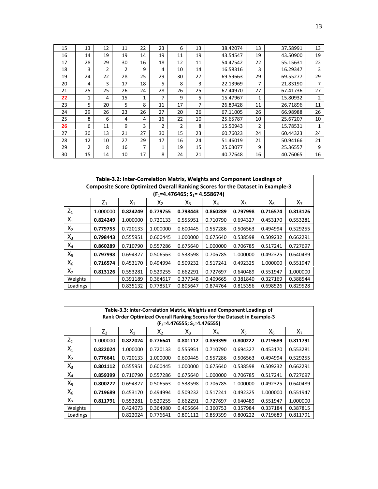| 15 | 13             | 12 | 11 | 22 | 23            | 6  | 13 | 38.42074 | 13           | 37.58991 | 13             |
|----|----------------|----|----|----|---------------|----|----|----------|--------------|----------|----------------|
| 16 | 14             | 19 | 19 | 14 | 19            | 11 | 19 | 43.54547 | 19           | 43.50900 | 19             |
| 17 | 28             | 29 | 30 | 16 | 18            | 12 | 11 | 54.47542 | 22           | 55.15631 | 22             |
| 18 | 3              | 2  | 2  | 9  | 4             | 10 | 14 | 16.58316 | 3            | 16.29347 | 3              |
| 19 | 24             | 22 | 28 | 25 | 29            | 30 | 27 | 69.59663 | 29           | 69.55277 | 29             |
| 20 | 4              | 3  | 17 | 18 | 5.            | 8  | 3  | 22.13969 | 7            | 21.83190 | 7              |
| 21 | 25             | 25 | 26 | 24 | 28            | 26 | 25 | 67.44970 | 27           | 67.41736 | 27             |
| 22 | 1              | 4  | 15 | 1  | 7             | 9  | 5  | 15.47967 | $\mathbf{1}$ | 15.80932 | $\overline{2}$ |
| 23 | 5              | 20 | 5  | 8  | 11            | 17 | 7  | 26.89428 | 11           | 26.71896 | 11             |
| 24 | 29             | 26 | 23 | 26 | 27            | 20 | 26 | 67.11005 | 26           | 66.98988 | 26             |
| 25 | 8              | 6  | 4  | 4  | 16            | 22 | 10 | 25.65787 | 10           | 25.67207 | 10             |
| 26 | 6              | 11 | 9  | 3  | $\mathfrak z$ | 2  | 8  | 15.50943 | 2            | 15.78531 | 1              |
| 27 | 30             | 13 | 21 | 27 | 30            | 15 | 23 | 60.76023 | 24           | 60.44323 | 24             |
| 28 | 12             | 10 | 27 | 29 | 17            | 16 | 24 | 51.46019 | 21           | 50.94166 | 21             |
| 29 | $\overline{2}$ | 8  | 16 | 7  | $\mathbf{1}$  | 19 | 15 | 25.03077 | 9            | 25.36557 | 9              |
| 30 | 15             | 14 | 10 | 17 | 8             | 24 | 21 | 40.77648 | 16           | 40.76065 | 16             |

| Table-3.2: Inter-Correlation Matrix, Weights and Component Loadings of               |                                |                                                                      |          |          |          |          |          |          |  |  |  |  |  |  |
|--------------------------------------------------------------------------------------|--------------------------------|----------------------------------------------------------------------|----------|----------|----------|----------|----------|----------|--|--|--|--|--|--|
| <b>Composite Score Optimized Overall Ranking Scores for the Dataset in Example-3</b> |                                |                                                                      |          |          |          |          |          |          |  |  |  |  |  |  |
|                                                                                      | $(F_1=4.476465; S_1=4.558674)$ |                                                                      |          |          |          |          |          |          |  |  |  |  |  |  |
|                                                                                      | $Z_1$                          | $X_1$<br>X <sub>5</sub><br>$X_6$<br>$X_7$<br>$X_2$<br>$X_3$<br>$X_4$ |          |          |          |          |          |          |  |  |  |  |  |  |
| $Z_1$                                                                                | 1.000000                       | 0.824249                                                             | 0.779755 | 0.798443 | 0.860289 | 0.797998 | 0.716574 | 0.813126 |  |  |  |  |  |  |
| $X_1$                                                                                | 0.824249                       | 1.000000                                                             | 0.720133 | 0.555951 | 0.710790 | 0.694327 | 0.453170 | 0.553281 |  |  |  |  |  |  |
| $X_2$                                                                                | 0.779755                       | 0.720133                                                             | 1.000000 | 0.600445 | 0.557286 | 0.506563 | 0.494994 | 0.529255 |  |  |  |  |  |  |
| $X_3$                                                                                | 0.798443                       | 0.555951                                                             | 0.600445 | 1.000000 | 0.675640 | 0.538598 | 0.509232 | 0.662291 |  |  |  |  |  |  |
| $X_4$                                                                                | 0.860289                       | 0.710790                                                             | 0.557286 | 0.675640 | 1.000000 | 0.706785 | 0.517241 | 0.727697 |  |  |  |  |  |  |
| $X_5$                                                                                | 0.797998                       | 0.694327                                                             | 0.506563 | 0.538598 | 0.706785 | 1.000000 | 0.492325 | 0.640489 |  |  |  |  |  |  |
| $X_6$                                                                                | 0.716574                       | 0.453170                                                             | 0.494994 | 0.509232 | 0.517241 | 0.492325 | 1.000000 | 0.551947 |  |  |  |  |  |  |
| $X_7$                                                                                | 0.813126                       | 0.553281                                                             | 0.529255 | 0.662291 | 0.727697 | 0.640489 | 0.551947 | 1.000000 |  |  |  |  |  |  |
| Weights                                                                              |                                | 0.391189                                                             | 0.364617 | 0.377348 | 0.409665 | 0.381840 | 0.327169 | 0.388544 |  |  |  |  |  |  |
| Loadings                                                                             |                                | 0.835132                                                             | 0.778517 | 0.805647 | 0.874764 | 0.815356 | 0.698526 | 0.829528 |  |  |  |  |  |  |

|          | Table-3.3: Inter-Correlation Matrix, Weights and Component Loadings of<br>Rank Order Optimized Overall Ranking Scores for the Dataset in Example-3<br>$(F_2=4.476555; S_2=4.476555)$ |                                                             |          |          |          |          |          |          |  |  |  |  |  |  |
|----------|--------------------------------------------------------------------------------------------------------------------------------------------------------------------------------------|-------------------------------------------------------------|----------|----------|----------|----------|----------|----------|--|--|--|--|--|--|
|          | $Z_2$                                                                                                                                                                                | $X_1$<br>$X_5$<br>$X_7$<br>$X_2$<br>$X_6$<br>$X_3$<br>$X_4$ |          |          |          |          |          |          |  |  |  |  |  |  |
| $Z_2$    | 1.000000                                                                                                                                                                             | 0.822024                                                    | 0.776641 | 0.801112 | 0.859399 | 0.800222 | 0.719689 | 0.811791 |  |  |  |  |  |  |
| $X_1$    | 0.822024                                                                                                                                                                             | 1.000000                                                    | 0.720133 | 0.555951 | 0.710790 | 0.694327 | 0.453170 | 0.553281 |  |  |  |  |  |  |
| $X_2$    | 0.776641                                                                                                                                                                             | 0.720133                                                    | 1.000000 | 0.600445 | 0.557286 | 0.506563 | 0.494994 | 0.529255 |  |  |  |  |  |  |
| $X_3$    | 0.801112                                                                                                                                                                             | 0.555951                                                    | 0.600445 | 1.000000 | 0.675640 | 0.538598 | 0.509232 | 0.662291 |  |  |  |  |  |  |
| $X_4$    | 0.859399                                                                                                                                                                             | 0.710790                                                    | 0.557286 | 0.675640 | 1.000000 | 0.706785 | 0.517241 | 0.727697 |  |  |  |  |  |  |
| $X_5$    | 0.800222                                                                                                                                                                             | 0.694327                                                    | 0.506563 | 0.538598 | 0.706785 | 1.000000 | 0.492325 | 0.640489 |  |  |  |  |  |  |
| $X_6$    | 0.719689                                                                                                                                                                             | 0.453170                                                    | 0.494994 | 0.509232 | 0.517241 | 0.492325 | 1.000000 | 0.551947 |  |  |  |  |  |  |
| $X_7$    | 0.811791                                                                                                                                                                             | 0.553281                                                    | 0.529255 | 0.662291 | 0.727697 | 0.640489 | 0.551947 | 1.000000 |  |  |  |  |  |  |
| Weights  |                                                                                                                                                                                      | 0.424073                                                    | 0.364980 | 0.405664 | 0.360753 | 0.357984 | 0.337184 | 0.387815 |  |  |  |  |  |  |
| Loadings |                                                                                                                                                                                      | 0.822024                                                    | 0.776641 | 0.801112 | 0.859399 | 0.800222 | 0.719689 | 0.811791 |  |  |  |  |  |  |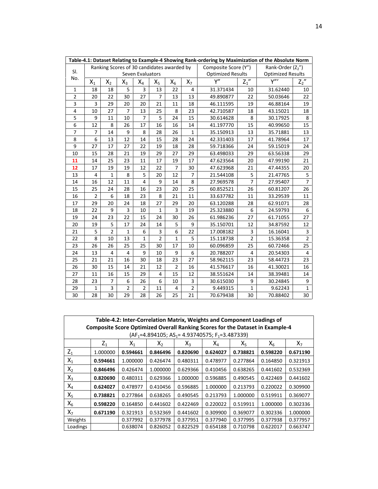|                | Table-4.1: Dataset Relating to Example-4 Showing Rank-ordering by Maximization of the Absolute Norm |                                            |                |                  |                |                  |                |                          |                |                               |                         |
|----------------|-----------------------------------------------------------------------------------------------------|--------------------------------------------|----------------|------------------|----------------|------------------|----------------|--------------------------|----------------|-------------------------------|-------------------------|
|                |                                                                                                     | Ranking Scores of 30 candidates awarded by |                |                  |                |                  |                | Composite Score (Y")     |                | Rank-Order (Z <sub>2</sub> ") |                         |
| SI.            |                                                                                                     |                                            |                | Seven Evaluators |                |                  |                | <b>Optimized Results</b> |                | <b>Optimized Results</b>      |                         |
| No.            | $X_1$                                                                                               | $X_2$                                      | $X_3$          | $X_4$            | $X_5$          | $X_6$            | $X_7$          | Υ"                       | $Z_1"$         | Y"'                           | $Z_2$ "                 |
| $\mathbf{1}$   | 18                                                                                                  | 18                                         | 5              | 3                | 13             | 22               | 4              | 31.371434                | 10             | 31.62440                      | 10                      |
| $\overline{2}$ | 20                                                                                                  | 22                                         | 30             | 27               | $\overline{7}$ | 13               | 13             | 49.890877                | 22             | 50.03646                      | 22                      |
| 3              | 3                                                                                                   | 29                                         | 20             | 20               | 21             | 11               | 18             | 46.111595                | 19             | 46.88164                      | 19                      |
| $\overline{4}$ | 10                                                                                                  | 27                                         | $\overline{7}$ | 13               | 25             | 8                | 23             | 42.710587                | 18             | 43.15021                      | 18                      |
| $\overline{5}$ | 9                                                                                                   | 11                                         | 10             | 7                | 5              | 24               | 15             | 30.614628                | 8              | 30.17925                      | 8                       |
| 6              | 12                                                                                                  | 8                                          | 26             | 17               | 16             | 16               | 14             | 41.197770                | 15             | 40.99650                      | 15                      |
| $\overline{7}$ | 7                                                                                                   | 14                                         | 9              | 8                | 28             | 26               | $\mathbf{1}$   | 35.150913                | 13             | 35.71881                      | 13                      |
| 8              | 6                                                                                                   | 13                                         | 12             | 14               | 15             | 28               | 24             | 42.331403                | 17             | 41.78964                      | 17                      |
| 9              | 27                                                                                                  | 17                                         | 27             | 22               | 19             | 18               | 28             | 59.718366                | 24             | 59.15019                      | 24                      |
| 10             | 15                                                                                                  | 28                                         | 21             | 19               | 29             | 27               | 29             | 63.498033                | 29             | 63.56338                      | 29                      |
| 11             | 14                                                                                                  | 25                                         | 23             | 11               | 17             | 19               | 17             | 47.623564                | 20             | 47.99190                      | 21                      |
| 12             | 17                                                                                                  | 19                                         | 19             | 12               | 22             | 7                | 30             | 47.623968                | 21             | 47.44355                      | 20                      |
| 13             | 4                                                                                                   | 1                                          | 8              | 5                | 20             | 12               | $\overline{7}$ | 21.544108                | 5              | 21.47765                      | $\overline{\mathbf{5}}$ |
| 14             | 16                                                                                                  | 12                                         | 11             | 4                | 9              | 14               | 8              | 27.969578                | 7              | 27.95407                      | $\overline{7}$          |
| 15             | 25                                                                                                  | 24                                         | 28             | 16               | 23             | 20               | 25             | 60.852521                | 26             | 60.81207                      | 26                      |
| 16             | 2                                                                                                   | 6                                          | 18             | 23               | 8              | 21               | 11             | 33.637782                | 11             | 33.29539                      | 11                      |
| 17             | 29                                                                                                  | 20                                         | 24             | 18               | 27             | 29               | 20             | 63.120288                | 28             | 62.91071                      | 28                      |
| 18             | 22                                                                                                  | 9                                          | 3              | 10               | $\mathbf{1}$   | 3                | 19             | 25.323880                | 6              | 24.59793                      | 6                       |
| 19             | 24                                                                                                  | 23                                         | 22             | 15               | 24             | 30               | 26             | 61.986236                | 27             | 61.71055                      | 27                      |
| 20             | 19                                                                                                  | 5                                          | 17             | 24               | 14             | 5                | 9              | 35.150701                | 12             | 34.87592                      | 12                      |
| 21             | 5                                                                                                   | $\overline{2}$                             | $\mathbf{1}$   | 6                | 3              | 6                | 22             | 17.008182                | 3              | 16.16041                      | $\overline{3}$          |
| 22             | 8                                                                                                   | 10                                         | 13             | $\mathbf{1}$     | $\overline{2}$ | 1                | 5              | 15.118738                | 2              | 15.36358                      | $\overline{2}$          |
| 23             | 26                                                                                                  | 26                                         | 25             | 25               | 30             | 17               | 10             | 60.096859                | 25             | 60.72466                      | 25                      |
| 24             | 13                                                                                                  | 4                                          | 4              | 9                | 10             | $\boldsymbol{9}$ | 6              | 20.788207                | $\overline{4}$ | 20.54303                      | $\overline{4}$          |
| 25             | 21                                                                                                  | 21                                         | 16             | 30               | 18             | 23               | 27             | 58.962115                | 23             | 58.44723                      | 23                      |
| 26             | 30                                                                                                  | 15                                         | 14             | 21               | 12             | $\overline{2}$   | 16             | 41.576617                | 16             | 41.30021                      | 16                      |
| 27             | 11                                                                                                  | 16                                         | 15             | 29               | 4              | 15               | 12             | 38.551624                | 14             | 38.39481                      | 14                      |
| 28             | 23                                                                                                  | 7                                          | 6              | 26               | 6              | 10               | 3              | 30.615030                | 9              | 30.24845                      | 9                       |
| 29             | 1                                                                                                   | 3                                          | $\overline{2}$ | $\overline{2}$   | 11             | 4                | $\overline{2}$ | 9.449315                 | 1              | 9.62243                       | $\mathbf{1}$            |
| 30             | 28                                                                                                  | 30                                         | 29             | 28               | 26             | 25               | 21             | 70.679438                | 30             | 70.88402                      | 30                      |

| Table-4.2: Inter-Correlation Matrix, Weights and Component Loadings of        |                                                  |                                                                       |          |          |          |          |          |          |  |  |  |  |  |
|-------------------------------------------------------------------------------|--------------------------------------------------|-----------------------------------------------------------------------|----------|----------|----------|----------|----------|----------|--|--|--|--|--|
| Composite Score Optimized Overall Ranking Scores for the Dataset in Example-4 |                                                  |                                                                       |          |          |          |          |          |          |  |  |  |  |  |
|                                                                               | $(AF_1=4.894105; AS_1=4.93740575; F_1=3.487339)$ |                                                                       |          |          |          |          |          |          |  |  |  |  |  |
|                                                                               | $Z_1$                                            | X <sub>7</sub><br>$X_1$<br>$X_2$<br>$X_{3}$<br>$X_6$<br>X4<br>$X_{5}$ |          |          |          |          |          |          |  |  |  |  |  |
| $Z_1$                                                                         | 1.000000                                         | 0.594661                                                              | 0.846496 | 0.820690 | 0.624027 | 0.738821 | 0.598220 | 0.671190 |  |  |  |  |  |
| $X_1$                                                                         | 0.594661                                         | 1.000000                                                              | 0.426474 | 0.480311 | 0.478977 | 0.277864 | 0.164850 | 0.321913 |  |  |  |  |  |
| $X_2$                                                                         | 0.846496                                         | 0.426474                                                              | 1.000000 | 0.629366 | 0.410456 | 0.638265 | 0.441602 | 0.532369 |  |  |  |  |  |
| $X_3$                                                                         | 0.820690                                         | 0.480311                                                              | 0.629366 | 1.000000 | 0.596885 | 0.490545 | 0.422469 | 0.441602 |  |  |  |  |  |
| $X_4$                                                                         | 0.624027                                         | 0.478977                                                              | 0.410456 | 0.596885 | 1.000000 | 0.213793 | 0.220022 | 0.309900 |  |  |  |  |  |
| $X_5$                                                                         | 0.738821                                         | 0.277864                                                              | 0.638265 | 0.490545 | 0.213793 | 1.000000 | 0.519911 | 0.369077 |  |  |  |  |  |
| $X_6$                                                                         | 0.598220                                         | 0.164850                                                              | 0.441602 | 0.422469 | 0.220022 | 0.519911 | 1.000000 | 0.302336 |  |  |  |  |  |
| $X_7$                                                                         | 0.671190                                         | 0.321913                                                              | 0.532369 | 0.441602 | 0.309900 | 0.369077 | 0.302336 | 1.000000 |  |  |  |  |  |
| Weights                                                                       |                                                  | 0.377992                                                              | 0.377978 | 0.377951 | 0.377940 | 0.377995 | 0.377938 | 0.377957 |  |  |  |  |  |
| Loadings                                                                      |                                                  | 0.638074                                                              | 0.826052 | 0.822529 | 0.654188 | 0.710798 | 0.622017 | 0.663747 |  |  |  |  |  |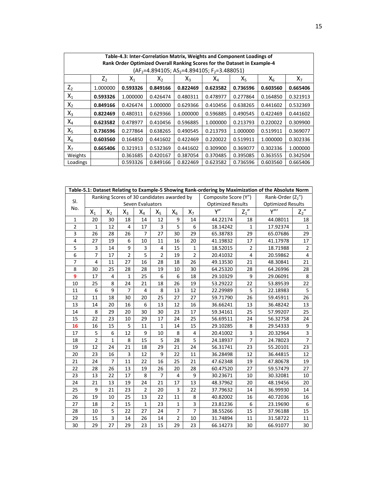|          | Table-4.3: Inter-Correlation Matrix, Weights and Component Loadings of<br>Rank Order Optimized Overall Ranking Scores for the Dataset in Example-4 |                                                               |          |          |          |          |          |          |  |  |
|----------|----------------------------------------------------------------------------------------------------------------------------------------------------|---------------------------------------------------------------|----------|----------|----------|----------|----------|----------|--|--|
|          | $(AF_2=4.894105; AS_2=4.894105; F_2=3.488051)$                                                                                                     |                                                               |          |          |          |          |          |          |  |  |
|          | $Z_2$                                                                                                                                              | $X_5$<br>$X_1$<br>$X_7$<br>$X_2$<br>$X_6$<br>$X_{3}$<br>$X_4$ |          |          |          |          |          |          |  |  |
| $Z_2$    | 1.000000                                                                                                                                           | 0.593326                                                      | 0.849166 | 0.822469 | 0.623582 | 0.736596 | 0.603560 | 0.665406 |  |  |
| $X_1$    | 0.593326                                                                                                                                           | 1.000000                                                      | 0.426474 | 0.480311 | 0.478977 | 0.277864 | 0.164850 | 0.321913 |  |  |
| $X_2$    | 0.849166                                                                                                                                           | 0.426474                                                      | 1.000000 | 0.629366 | 0.410456 | 0.638265 | 0.441602 | 0.532369 |  |  |
| $X_3$    | 0.822469                                                                                                                                           | 0.480311                                                      | 0.629366 | 1.000000 | 0.596885 | 0.490545 | 0.422469 | 0.441602 |  |  |
| $X_4$    | 0.623582                                                                                                                                           | 0.478977                                                      | 0.410456 | 0.596885 | 1.000000 | 0.213793 | 0.220022 | 0.309900 |  |  |
| $X_5$    | 0.736596                                                                                                                                           | 0.277864                                                      | 0.638265 | 0.490545 | 0.213793 | 1.000000 | 0.519911 | 0.369077 |  |  |
| $X_6$    | 0.603560                                                                                                                                           | 0.164850                                                      | 0.441602 | 0.422469 | 0.220022 | 0.519911 | 1.000000 | 0.302336 |  |  |
| $X_7$    | 0.665406                                                                                                                                           | 0.321913                                                      | 0.532369 | 0.441602 | 0.309900 | 0.369077 | 0.302336 | 1.000000 |  |  |
| Weights  |                                                                                                                                                    | 0.361685                                                      | 0.420167 | 0.387054 | 0.370485 | 0.395085 | 0.363555 | 0.342504 |  |  |
| Loadings |                                                                                                                                                    | 0.593326                                                      | 0.849166 | 0.822469 | 0.623582 | 0.736596 | 0.603560 | 0.665406 |  |  |

|                | Table-5.1: Dataset Relating to Example-5 Showing Rank-ordering by Maximization of the Absolute Norm |                                            |                |                  |                |                |                |                          |                |                               |                |
|----------------|-----------------------------------------------------------------------------------------------------|--------------------------------------------|----------------|------------------|----------------|----------------|----------------|--------------------------|----------------|-------------------------------|----------------|
|                |                                                                                                     | Ranking Scores of 30 candidates awarded by |                |                  |                |                |                | Composite Score (Y")     |                | Rank-Order (Z <sub>2</sub> ") |                |
| SI.            |                                                                                                     |                                            |                | Seven Evaluators |                |                |                | <b>Optimized Results</b> |                | <b>Optimized Results</b>      |                |
| No.            | $X_1$                                                                                               | $X_2$                                      | $X_3$          | $X_4$            | $X_5$          | $X_6$          | X <sub>7</sub> | Υ"                       | $Z_1''$        | Y''                           | $Z_2$ "        |
| $\mathbf{1}$   | 20                                                                                                  | 30                                         | 18             | 14               | 12             | 9              | 14             | 44.22174                 | 18             | 44.08011                      | 18             |
| $\overline{2}$ | 1                                                                                                   | 12                                         | 4              | 17               | 3              | 5              | 6              | 18.14242                 | 1              | 17.92374                      | 1              |
| 3              | 26                                                                                                  | 28                                         | 26             | $\overline{7}$   | 27             | 30             | 29             | 65.38783                 | 29             | 65.07686                      | 29             |
| 4              | 27                                                                                                  | 19                                         | 6              | 10               | 11             | 16             | 20             | 41.19832                 | 17             | 41.17978                      | 17             |
| 5              | 3                                                                                                   | 14                                         | 9              | 3                | $\overline{4}$ | 15             | $\mathbf 1$    | 18.52015                 | $\overline{2}$ | 18.71988                      | $\overline{2}$ |
| 6              | 7                                                                                                   | 17                                         | $\overline{2}$ | 5                | 2              | 19             | $\overline{2}$ | 20.41032                 | 4              | 20.59862                      | 4              |
| 7              | 4                                                                                                   | 11                                         | 27             | 16               | 28             | 18             | 26             | 49.13530                 | 21             | 48.30841                      | 21             |
| 8              | 30                                                                                                  | 25                                         | 28             | 28               | 19             | 10             | 30             | 64.25320                 | 28             | 64.26996                      | 28             |
| 9              | 17                                                                                                  | 4                                          | $\mathbf{1}$   | 25               | 6              | 6              | 18             | 29.10329                 | 9              | 29.06091                      | 8              |
| 10             | 25                                                                                                  | 8                                          | 24             | 21               | 18             | 26             | 19             | 53.29222                 | 22             | 53.89539                      | 22             |
| 11             | 6                                                                                                   | 9                                          | $\overline{7}$ | 4                | 8              | 13             | 12             | 22.29989                 | 5              | 22.18983                      | 5              |
| 12             | 11                                                                                                  | 18                                         | 30             | 20               | 25             | 27             | 27             | 59.71790                 | 26             | 59.45911                      | 26             |
| 13             | 14                                                                                                  | 20                                         | 16             | 6                | 13             | 12             | 16             | 36.66241                 | 13             | 36.48242                      | 13             |
| 14             | 8                                                                                                   | 29                                         | 20             | 30               | 30             | 23             | 17             | 59.34161                 | 25             | 57.99207                      | 25             |
| 15             | 22                                                                                                  | 23                                         | 10             | 29               | 17             | 24             | 25             | 56.69511                 | 24             | 56.32758                      | 24             |
| 16             | 16                                                                                                  | 15                                         | 5              | 11               | $\mathbf{1}$   | 14             | 15             | 29.10285                 | 8              | 29.54333                      | 9              |
| 17             | 5                                                                                                   | 6                                          | 12             | 9                | 10             | 8              | 4              | 20.41002                 | 3              | 20.32964                      | 3              |
| 18             | $\overline{2}$                                                                                      | 1                                          | 8              | 15               | 5              | 28             | 5              | 24.18937                 | $\overline{7}$ | 24.78023                      | $\overline{7}$ |
| 19             | 12                                                                                                  | 24                                         | 21             | 18               | 29             | 21             | 24             | 56.31741                 | 23             | 55.20101                      | 23             |
| 20             | 23                                                                                                  | 16                                         | 3              | 12               | 9              | 22             | 11             | 36.28498                 | 12             | 36.44815                      | 12             |
| 21             | 24                                                                                                  | 7                                          | 11             | 22               | 16             | 25             | 21             | 47.62348                 | 19             | 47.80678                      | 19             |
| 22             | 28                                                                                                  | 26                                         | 13             | 19               | 26             | 20             | 28             | 60.47520                 | 27             | 59.57479                      | 27             |
| 23             | 13                                                                                                  | 22                                         | 17             | 8                | 7              | 4              | 9              | 30.23671                 | 10             | 30.32081                      | 10             |
| 24             | 21                                                                                                  | 13                                         | 19             | 24               | 21             | 17             | 13             | 48.37962                 | 20             | 48.19456                      | 20             |
| 25             | 9                                                                                                   | 21                                         | 23             | 2                | 20             | 3              | 22             | 37.79632                 | 14             | 36.99930                      | 14             |
| 26             | 19                                                                                                  | 10                                         | 25             | 13               | 22             | 11             | 8              | 40.82002                 | 16             | 40.72036                      | 16             |
| 27             | 18                                                                                                  | $\overline{2}$                             | 15             | 1                | 23             | $\mathbf{1}$   | 3              | 23.81236                 | 6              | 23.19690                      | 6              |
| 28             | 10                                                                                                  | 5                                          | 22             | 27               | 24             | 7              | $\overline{7}$ | 38.55266                 | 15             | 37.96188                      | 15             |
| 29             | 15                                                                                                  | 3                                          | 14             | 26               | 14             | $\overline{2}$ | 10             | 31.74894                 | 11             | 31.58722                      | 11             |
| 30             | 29                                                                                                  | 27                                         | 29             | 23               | 15             | 29             | 23             | 66.14273                 | $30\,$         | 66.91077                      | 30             |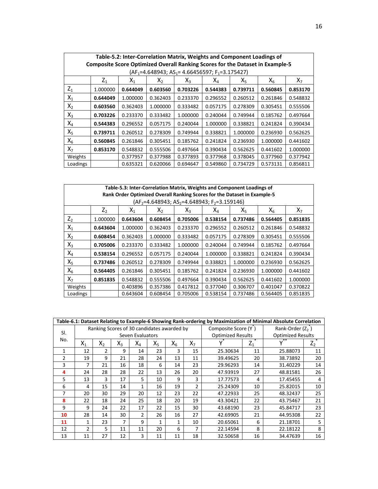|                | Table-5.2: Inter-Correlation Matrix, Weights and Component Loadings of<br><b>Composite Score Optimized Overall Ranking Scores for the Dataset in Example-5</b> |                |          |          |          |          |          |          |  |  |
|----------------|----------------------------------------------------------------------------------------------------------------------------------------------------------------|----------------|----------|----------|----------|----------|----------|----------|--|--|
|                | $(AF_1=4.648943; AS_1=4.66456597; F_1=3.175427)$                                                                                                               |                |          |          |          |          |          |          |  |  |
|                | $Z_1$                                                                                                                                                          | $\mathsf{X}_1$ | $X_2$    | $X_{3}$  | $X_4$    | $X_5$    | $X_6$    | $X_7$    |  |  |
| $Z_1$          | 1.000000                                                                                                                                                       | 0.644049       | 0.603560 | 0.703226 | 0.544383 | 0.739711 | 0.560845 | 0.853170 |  |  |
| $X_1$          | 0.644049                                                                                                                                                       | 1.000000       | 0.362403 | 0.233370 | 0.296552 | 0.260512 | 0.261846 | 0.548832 |  |  |
| $X_2$          | 0.603560                                                                                                                                                       | 0.362403       | 1.000000 | 0.333482 | 0.057175 | 0.278309 | 0.305451 | 0.555506 |  |  |
| $X_3$          | 0.703226                                                                                                                                                       | 0.233370       | 0.333482 | 1.000000 | 0.240044 | 0.749944 | 0.185762 | 0.497664 |  |  |
| $X_4$          | 0.544383                                                                                                                                                       | 0.296552       | 0.057175 | 0.240044 | 1.000000 | 0.338821 | 0.241824 | 0.390434 |  |  |
| $X_{5}$        | 0.739711                                                                                                                                                       | 0.260512       | 0.278309 | 0.749944 | 0.338821 | 1.000000 | 0.236930 | 0.562625 |  |  |
| $X_6$          | 0.560845                                                                                                                                                       | 0.261846       | 0.305451 | 0.185762 | 0.241824 | 0.236930 | 1.000000 | 0.441602 |  |  |
| X <sub>7</sub> | 0.853170                                                                                                                                                       | 0.548832       | 0.555506 | 0.497664 | 0.390434 | 0.562625 | 0.441602 | 1.000000 |  |  |
| Weights        |                                                                                                                                                                | 0.377957       | 0.377988 | 0.377893 | 0.377968 | 0.378045 | 0.377960 | 0.377942 |  |  |
| Loadings       |                                                                                                                                                                | 0.635321       | 0.620066 | 0.694647 | 0.549860 | 0.734729 | 0.573131 | 0.856811 |  |  |

|          | Table-5.3: Inter-Correlation Matrix, Weights and Component Loadings of   |          |          |          |                |          |          |          |  |  |  |
|----------|--------------------------------------------------------------------------|----------|----------|----------|----------------|----------|----------|----------|--|--|--|
|          | Rank Order Optimized Overall Ranking Scores for the Dataset in Example-5 |          |          |          |                |          |          |          |  |  |  |
|          | $(AF_2=4.648943; AS_2=4.648943; F_2=3.159146)$                           |          |          |          |                |          |          |          |  |  |  |
|          | $Z_2$                                                                    | $X_1$    | $X_{2}$  | $X_{3}$  | $\mathsf{X}_4$ | $X_{5}$  | $X_6$    | $X_7$    |  |  |  |
| $Z_2$    | 1.000000                                                                 | 0.643604 | 0.608454 | 0.705006 | 0.538154       | 0.737486 | 0.564405 | 0.851835 |  |  |  |
| $X_1$    | 0.643604                                                                 | 1.000000 | 0.362403 | 0.233370 | 0.296552       | 0.260512 | 0.261846 | 0.548832 |  |  |  |
| $X_2$    | 0.608454                                                                 | 0.362403 | 1.000000 | 0.333482 | 0.057175       | 0.278309 | 0.305451 | 0.555506 |  |  |  |
| $X_3$    | 0.705006                                                                 | 0.233370 | 0.333482 | 1.000000 | 0.240044       | 0.749944 | 0.185762 | 0.497664 |  |  |  |
| $X_4$    | 0.538154                                                                 | 0.296552 | 0.057175 | 0.240044 | 1.000000       | 0.338821 | 0.241824 | 0.390434 |  |  |  |
| $X_5$    | 0.737486                                                                 | 0.260512 | 0.278309 | 0.749944 | 0.338821       | 1.000000 | 0.236930 | 0.562625 |  |  |  |
| $X_6$    | 0.564405                                                                 | 0.261846 | 0.305451 | 0.185762 | 0.241824       | 0.236930 | 1.000000 | 0.441602 |  |  |  |
| $X_7$    | 0.851835                                                                 | 0.548832 | 0.555506 | 0.497664 | 0.390434       | 0.562625 | 0.441602 | 1.000000 |  |  |  |
| Weights  |                                                                          | 0.403896 | 0.357386 | 0.417812 | 0.377040       | 0.306707 | 0.401047 | 0.370822 |  |  |  |
| Loadings |                                                                          | 0.643604 | 0.608454 | 0.705006 | 0.538154       | 0.737486 | 0.564405 | 0.851835 |  |  |  |

|     |                |               |       |                                            |              |       |                |                          |       | Table-6.1: Dataset Relating to Example-6 Showing Rank-ordering by Maximization of Minimal Absolute Correlation |       |  |
|-----|----------------|---------------|-------|--------------------------------------------|--------------|-------|----------------|--------------------------|-------|----------------------------------------------------------------------------------------------------------------|-------|--|
|     |                |               |       | Ranking Scores of 30 candidates awarded by |              |       |                | Composite Score (Y)      |       | Rank-Order $(Z_2)$                                                                                             |       |  |
| SI. |                |               |       | Seven Evaluators                           |              |       |                | <b>Optimized Results</b> |       | <b>Optimized Results</b>                                                                                       |       |  |
| No. | $X_1$          | $X_2$         | $X_3$ | $\mathsf{X}_4$                             | Xς           | $X_6$ | X <sub>7</sub> |                          | $Z_1$ | **                                                                                                             | $Z_2$ |  |
| 1   | 12             | $\mathcal{P}$ | 9     | 14                                         | 23           | 3     | 15             | 25.30634                 | 11    | 25.88073                                                                                                       | 11    |  |
| 2   | 19             | 9             | 21    | 28                                         | 24           | 13    | 11             | 39.49625                 | 20    | 38.73892                                                                                                       | 20    |  |
| 3   | 7              | 21            | 16    | 18                                         | 6            | 14    | 23             | 29.96293                 | 14    | 31.40229                                                                                                       | 14    |  |
| 4   | 24             | 28            | 28    | 22                                         | 13           | 26    | 20             | 47.93919                 | 27    | 48.81581                                                                                                       | 26    |  |
| 5   | 13             | 3             | 17    | 5.                                         | 10           | q     | 3              | 17.77573                 | 4     | 17.45455                                                                                                       | 4     |  |
| 6   | 4              | 15            | 14    | 1                                          | 16           | 19    | 2              | 25.24309                 | 10    | 25.82015                                                                                                       | 10    |  |
| 7   | 20             | 30            | 29    | 20                                         | 12           | 23    | 22             | 47.22933                 | 25    | 48.32437                                                                                                       | 25    |  |
| 8   | 22             | 18            | 24    | 25                                         | 18           | 20    | 19             | 43.30421                 | 22    | 43.75467                                                                                                       | 21    |  |
| 9   | 9              | 24            | 22    | 17                                         | 22           | 15    | 30             | 43.68190                 | 23    | 45.84717                                                                                                       | 23    |  |
| 10  | 28             | 14            | 30    | 2                                          | 26           | 16    | 27             | 42.69905                 | 21    | 44.95308                                                                                                       | 22    |  |
| 11  | $\mathbf{1}$   | 23            | 7     | 9                                          | $\mathbf{1}$ | 1     | 10             | 20.65061                 | 6     | 21.18701                                                                                                       | 5     |  |
| 12  | $\overline{2}$ | 5.            | 11    | 11                                         | 20           | 6     | $\overline{7}$ | 22.14594                 | 8     | 22.18122                                                                                                       | 8     |  |
| 13  | 11             | 27            | 12    | 3                                          | 11           | 11    | 18             | 32.50658                 | 16    | 34.47639                                                                                                       | 16    |  |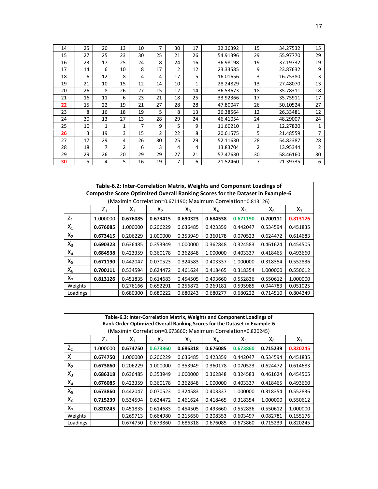| 14 | 25 | 20           | 13             | 10 | 7              | 30 | 17 | 32.36392 | 15             | 34.27532 | 15             |
|----|----|--------------|----------------|----|----------------|----|----|----------|----------------|----------|----------------|
| 15 | 27 | 25           | 23             | 30 | 25             | 21 | 26 | 54.91396 | 29             | 55.97770 | 29             |
| 16 | 23 | 17           | 25             | 24 | 8              | 24 | 16 | 36.98198 | 19             | 37.19732 | 19             |
| 17 | 14 | 6            | 10             | 8  | 17             | 2  | 12 | 23.33585 | 9              | 23.87632 | 9              |
| 18 | 6  | 12           | 8              | 4  | 4              | 17 | 5  | 16.01656 | 3              | 16.75380 | 3              |
| 19 | 21 | 10           | 15             | 12 | 14             | 10 | 1  | 28.24829 | 13             | 27.48070 | 13             |
| 20 | 26 | 8            | 26             | 27 | 15             | 12 | 14 | 36.53673 | 18             | 35.78311 | 18             |
| 21 | 16 | 11           | 6              | 23 | 21             | 18 | 25 | 33.92366 | 17             | 35.75911 | 17             |
| 22 | 15 | 22           | 19             | 21 | 27             | 28 | 28 | 47.80047 | 26             | 50.10524 | 27             |
| 23 | 8  | 16           | 18             | 19 | 5              | 8  | 13 | 26.38564 | 12             | 26.33481 | 12             |
| 24 | 30 | 13           | 27             | 13 | 28             | 29 | 24 | 46.41054 | 24             | 48.29007 | 24             |
| 25 | 10 | $\mathbf{1}$ | $\mathbf{1}$   | 7  | 9              | 5  | 9  | 11.60210 | $\mathbf{1}$   | 12.27820 | 1              |
| 26 | 3  | 19           | 3              | 15 | $\overline{2}$ | 22 | 8  | 20.61575 | 5              | 21.48559 | 7              |
| 27 | 17 | 29           | 4              | 26 | 30             | 25 | 29 | 52.11630 | 28             | 54.82387 | 28             |
| 28 | 18 | 7            | $\overline{2}$ | 6  | 3              | 4  | 4  | 13.83704 | $\overline{2}$ | 13.95344 | $\overline{2}$ |
| 29 | 29 | 26           | 20             | 29 | 29             | 27 | 21 | 57.47630 | 30             | 58.46160 | 30             |
| 30 | 5  | 4            | 5              | 16 | 19             | 7  | 6  | 21.52460 | 7              | 21.39735 | 6              |

|                | Table-6.2: Inter-Correlation Matrix, Weights and Component Loadings of<br>Composite Score Optimized Overall Ranking Scores for the Dataset in Example-6 |                |          |          |          |          |          |          |  |  |  |
|----------------|---------------------------------------------------------------------------------------------------------------------------------------------------------|----------------|----------|----------|----------|----------|----------|----------|--|--|--|
|                | (Maximin Correlation=0.671190; Maximum Correlation=0.813126)                                                                                            |                |          |          |          |          |          |          |  |  |  |
|                | $Z_1$                                                                                                                                                   | $\mathsf{X}_1$ | χ,       | $X_3$    | $X_4$    | $X_{5}$  | $X_6$    | $X_7$    |  |  |  |
| $Z_1$          | 1.000000                                                                                                                                                | 0.676085       | 0.673415 | 0.690323 | 0.684538 | 0.671190 | 0.700111 | 0.813126 |  |  |  |
| $X_1$          | 0.676085                                                                                                                                                | 1.000000       | 0.206229 | 0.636485 | 0.423359 | 0.442047 | 0.534594 | 0.451835 |  |  |  |
| $X_2$          | 0.673415                                                                                                                                                | 0.206229       | 1.000000 | 0.353949 | 0.360178 | 0.070523 | 0.624472 | 0.614683 |  |  |  |
| $X_3$          | 0.690323                                                                                                                                                | 0.636485       | 0.353949 | 1.000000 | 0.362848 | 0.324583 | 0.461624 | 0.454505 |  |  |  |
| $X_4$          | 0.684538                                                                                                                                                | 0.423359       | 0.360178 | 0.362848 | 1.000000 | 0.403337 | 0.418465 | 0.493660 |  |  |  |
| X <sub>5</sub> | 0.671190                                                                                                                                                | 0.442047       | 0.070523 | 0.324583 | 0.403337 | 1.000000 | 0.318354 | 0.552836 |  |  |  |
| $X_6$          | 0.700111                                                                                                                                                | 0.534594       | 0.624472 | 0.461624 | 0.418465 | 0.318354 | 1.000000 | 0.550612 |  |  |  |
| X <sub>7</sub> | 0.813126                                                                                                                                                | 0.451835       | 0.614683 | 0.454505 | 0.493660 | 0.552836 | 0.550612 | 1.000000 |  |  |  |
| Weights        |                                                                                                                                                         | 0.276166       | 0.652291 | 0.256872 | 0.269181 | 0.595985 | 0.044783 | 0.051025 |  |  |  |
| Loadings       |                                                                                                                                                         | 0.680300       | 0.680222 | 0.680243 | 0.680277 | 0.680222 | 0.714510 | 0.804249 |  |  |  |

|          | Table-6.3: Inter-Correlation Matrix, Weights and Component Loadings of<br>Rank Order Optimized Overall Ranking Scores for the Dataset in Example-6 |                                                              |          |          |          |          |          |          |  |
|----------|----------------------------------------------------------------------------------------------------------------------------------------------------|--------------------------------------------------------------|----------|----------|----------|----------|----------|----------|--|
|          |                                                                                                                                                    | (Maximin Correlation=0.673860; Maximum Correlation=0.820245) |          |          |          |          |          |          |  |
|          | $Z_2$                                                                                                                                              | Х,                                                           | $X_2$    | $X_3$    | $X_4$    | $X_5$    | $X_6$    | $X_7$    |  |
| $Z_2$    | 1.000000                                                                                                                                           | 0.674750                                                     | 0.673860 | 0.686318 | 0.676085 | 0.673860 | 0.715239 | 0.820245 |  |
| $X_1$    | 0.674750                                                                                                                                           | 1.000000                                                     | 0.206229 | 0.636485 | 0.423359 | 0.442047 | 0.534594 | 0.451835 |  |
| $X_2$    | 0.673860                                                                                                                                           | 0.206229                                                     | 1.000000 | 0.353949 | 0.360178 | 0.070523 | 0.624472 | 0.614683 |  |
| $X_3$    | 0.686318                                                                                                                                           | 0.636485                                                     | 0.353949 | 1.000000 | 0.362848 | 0.324583 | 0.461624 | 0.454505 |  |
| $X_4$    | 0.676085                                                                                                                                           | 0.423359                                                     | 0.360178 | 0.362848 | 1.000000 | 0.403337 | 0.418465 | 0.493660 |  |
| $X_5$    | 0.673860                                                                                                                                           | 0.442047                                                     | 0.070523 | 0.324583 | 0.403337 | 1.000000 | 0.318354 | 0.552836 |  |
| $X_6$    | 0.715239                                                                                                                                           | 0.534594                                                     | 0.624472 | 0.461624 | 0.418465 | 0.318354 | 1.000000 | 0.550612 |  |
| $X_7$    | 0.820245                                                                                                                                           | 0.451835                                                     | 0.614683 | 0.454505 | 0.493660 | 0.552836 | 0.550612 | 1.000000 |  |
| Weights  |                                                                                                                                                    | 0.269713                                                     | 0.664980 | 0.215650 | 0.208353 | 0.603497 | 0.082781 | 0.155176 |  |
| Loadings |                                                                                                                                                    | 0.674750                                                     | 0.673860 | 0.686318 | 0.676085 | 0.673860 | 0.715239 | 0.820245 |  |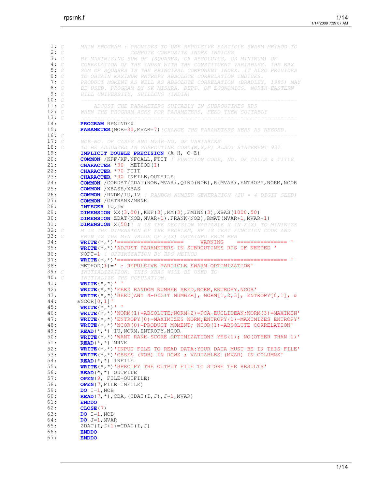| 1: C<br>2: C<br>3: C<br>4: C<br>5: C<br>6: C<br>7: C<br>8: C<br>9: C<br>10: $\subset$ | MAIN PROGRAM : PROVIDES TO USE REPULSIVE PARTICLE SWARM METHOD TO<br>COMPUTE COMPOSITE INDEX INDICES<br>BY MAXIMIZING SUM OF (SQUARES, OR ABSOLUTES, OR MINIMUM) OF<br>CORRELATION OF THE INDEX WITH THE CONSTITUENT VARIABLES. THE MAX<br>SUM OF SOUARES IS THE PRINCIPAL COMPONENT INDEX. IT ALSO PRIVIDES<br>TO OBTAIN MAXIMUM ENTROPY ABSOLUTE CORRELATION INDICES.<br>PRODUCT MOMENT AS WELL AS ABSOLUTE CORRELATION (BRADLEY, 1985) MAY<br>BE USED. PROGRAM BY SK MISHRA, DEPT. OF ECONOMICS, NORTH-EASTERN<br>HILL UNIVERSITY, SHILLONG (INDIA) |
|---------------------------------------------------------------------------------------|--------------------------------------------------------------------------------------------------------------------------------------------------------------------------------------------------------------------------------------------------------------------------------------------------------------------------------------------------------------------------------------------------------------------------------------------------------------------------------------------------------------------------------------------------------|
| 11: C                                                                                 | ADJUST THE PARAMETERS SUITABLY IN SUBROUTINES RPS                                                                                                                                                                                                                                                                                                                                                                                                                                                                                                      |
| 12: C                                                                                 | WHEN THE PROGRAM ASKS FOR PARAMETERS, FEED THEM SUITABLY                                                                                                                                                                                                                                                                                                                                                                                                                                                                                               |
| 13: C<br>14:<br>15:                                                                   | <b>PROGRAM</b> RPSINDEX<br>PARAMETER(NOB=30, MVAR=7)! CHANGE THE PARAMETERS HERE AS NEEDED.                                                                                                                                                                                                                                                                                                                                                                                                                                                            |
| 16: C<br>17: C<br>18: $\subset$<br>19:<br>20:<br>21:                                  | NOB=NO. OF CASES AND MVAR=NO. OF VARIABLES<br>TO BE ADJUSTED IN SUBROUTINE CORD (M, X, F) ALSO: STATEMENT 931<br>IMPLICIT DOUBLE PRECISION (A-H, O-Z)<br><b>COMMON</b> /KFF/KF, NFCALL, FTIT ! FUNCTION CODE, NO. OF CALLS & TITLE<br><b>CHARACTER</b> $*30$ METHOD(1)                                                                                                                                                                                                                                                                                 |
| 22:                                                                                   | <b>CHARACTER *70 FTIT</b>                                                                                                                                                                                                                                                                                                                                                                                                                                                                                                                              |
| 23:                                                                                   | <b>CHARACTER</b> *40 INFILE, OUTFILE                                                                                                                                                                                                                                                                                                                                                                                                                                                                                                                   |
| 24:                                                                                   | <b>COMMON</b> / CORDAT/CDAT (NOB, MVAR), QIND (NOB), R (MVAR), ENTROPY, NORM, NCOR                                                                                                                                                                                                                                                                                                                                                                                                                                                                     |
| 25:                                                                                   | <b>COMMON</b> / XBASE / XBAS                                                                                                                                                                                                                                                                                                                                                                                                                                                                                                                           |
| 26:                                                                                   | <b>COMMON</b> / RNDM/IU, IV ! RANDOM NUMBER GENERATION (IU = 4-DIGIT SEED)                                                                                                                                                                                                                                                                                                                                                                                                                                                                             |
| 27:                                                                                   | <b>COMMON</b> / GETRANK/MRNK                                                                                                                                                                                                                                                                                                                                                                                                                                                                                                                           |
| 28:<br>29:<br>30:<br>31:<br>32:<br>C<br>33: C                                         | INTEGER IU, IV<br><b>DIMENSION</b> XX(3,50), KKF(3), MM(3), FMINN(3), XBAS(1000, 50)<br><b>DIMENSION</b> ZDAT (NOB, MVAR+1), FRANK (NOB), RMAT (MVAR+1, MVAR+1)<br><b>DIMENSION X(50)!</b> X IS THE DECISION VARIABLE X IN F(X) TO MINIMIZE<br>M IS THE DIMENSION OF THE PROBLEM, KF IS TEST FUNCTION CODE AND<br>FMIN IS THE MIN VALUE OF F(X) OBTAINED FROM RPS                                                                                                                                                                                      |
| 34:<br>35:<br>36:<br>37:                                                              | <b>WRITE</b> (*,*)'ADJUST PARAMETERS IN SUBROUTINES RPS IF NEEDED '<br>NOPT=1 / OPTIMIZATION BY RPS METHOD                                                                                                                                                                                                                                                                                                                                                                                                                                             |
| 38:<br>39:<br>C<br>40:<br>$\mathcal{C}$                                               | METHOD(1)=': REPULSIVE PARTICLE SWARM OPTIMIZATION'<br>INITIALIZATION. THIS XBAS WILL BE USED TO<br>INITIALIZE THE POPULATION.                                                                                                                                                                                                                                                                                                                                                                                                                         |
| 41:                                                                                   | WRITE $(*, *)$ ' '                                                                                                                                                                                                                                                                                                                                                                                                                                                                                                                                     |
| 42:                                                                                   | <b>WRITE</b> (*,*) 'FEED RANDOM NUMBER SEED, NORM, ENTROPY, NCOR'                                                                                                                                                                                                                                                                                                                                                                                                                                                                                      |
| 43:                                                                                   | <b>WRITE</b> $(*, *)$ 'SEED[ANY 4-DIGIT NUMBER]; NORM[1,2,3]; ENTROPY[0,1]; &                                                                                                                                                                                                                                                                                                                                                                                                                                                                          |
| 44:                                                                                   | $&NCOR[0,1]$ '                                                                                                                                                                                                                                                                                                                                                                                                                                                                                                                                         |
| 45:                                                                                   | <b>WRITE</b> $(*, *)$ '                                                                                                                                                                                                                                                                                                                                                                                                                                                                                                                                |
| 46:                                                                                   | <b>WRITE</b> $(*,*)$ 'NORM $(1)$ =ABSOLUTE; NORM $(2)$ =PCA-EUCLIDEAN; NORM $(3)$ =MAXIMIN'                                                                                                                                                                                                                                                                                                                                                                                                                                                            |
| 47:                                                                                   | <b>WRITE</b> $(*$ , *) 'ENTROPY (0) = MAXIMIZES NORM; ENTROPY (1) = MAXIMIZES ENTROPY '                                                                                                                                                                                                                                                                                                                                                                                                                                                                |
| 48:                                                                                   | <b>WRITE</b> $(*, *)$ 'NCOR(0)=PRODUCT MOMENT; NCOR(1)=ABSOLUTE CORRELATION'                                                                                                                                                                                                                                                                                                                                                                                                                                                                           |
| 49:                                                                                   | $READ$ (*,*) IU, NORM, ENTROPY, NCOR                                                                                                                                                                                                                                                                                                                                                                                                                                                                                                                   |
| 50:                                                                                   | <b>WRITE</b> (*,*) 'WANT RANK SCORE OPTIMIZATION? YES(1); NO(OTHER THAN 1)'                                                                                                                                                                                                                                                                                                                                                                                                                                                                            |
| 51:                                                                                   | $READ$ (*, *) MRNK                                                                                                                                                                                                                                                                                                                                                                                                                                                                                                                                     |
| 52:                                                                                   | <b>WRITE</b> (*,*) 'INPUT FILE TO READ DATA: YOUR DATA MUST BE IN THIS FILE'                                                                                                                                                                                                                                                                                                                                                                                                                                                                           |
| 53:                                                                                   | <b>WRITE</b> (*,*) 'CASES (NOB) IN ROWS ; VARIABLES (MVAR) IN COLUMNS'                                                                                                                                                                                                                                                                                                                                                                                                                                                                                 |
| 54:                                                                                   | $READ$ (*,*) INFILE                                                                                                                                                                                                                                                                                                                                                                                                                                                                                                                                    |
| 55:                                                                                   | <b>WRITE</b> (*,*)'SPECIFY THE OUTPUT FILE TO STORE THE RESULTS'                                                                                                                                                                                                                                                                                                                                                                                                                                                                                       |
| 56:                                                                                   | $READ$ (*, *) OUTFILE                                                                                                                                                                                                                                                                                                                                                                                                                                                                                                                                  |
| 57:                                                                                   | OPEN(9, FILE=OUTFILE)                                                                                                                                                                                                                                                                                                                                                                                                                                                                                                                                  |
| 58:                                                                                   | $OPEN(7, FILE=INFILE)$                                                                                                                                                                                                                                                                                                                                                                                                                                                                                                                                 |
| 59:                                                                                   | $DO I=1, NOB$                                                                                                                                                                                                                                                                                                                                                                                                                                                                                                                                          |
| 60:                                                                                   | <b>READ</b> $(7, *)$ , CDA, $(CDAT(I,J), J=1, MVAR)$                                                                                                                                                                                                                                                                                                                                                                                                                                                                                                   |
| 61:                                                                                   | <b>ENDDO</b>                                                                                                                                                                                                                                                                                                                                                                                                                                                                                                                                           |
| 62:                                                                                   | CLOSE(7)                                                                                                                                                                                                                                                                                                                                                                                                                                                                                                                                               |
| 63:                                                                                   | $DO I=1, NOB$                                                                                                                                                                                                                                                                                                                                                                                                                                                                                                                                          |
| 64:                                                                                   | $DO$ $J=1$ , MVAR                                                                                                                                                                                                                                                                                                                                                                                                                                                                                                                                      |
| 65:                                                                                   | $ZDAT(I,J+1)=CDAT(I,J)$                                                                                                                                                                                                                                                                                                                                                                                                                                                                                                                                |
| 66:                                                                                   | <b>ENDDO</b>                                                                                                                                                                                                                                                                                                                                                                                                                                                                                                                                           |
| 67:                                                                                   | <b>ENDDO</b>                                                                                                                                                                                                                                                                                                                                                                                                                                                                                                                                           |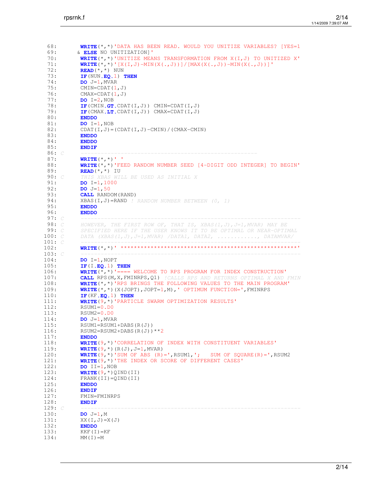| 68:           | <b>WRITE</b> $(*,*)$ 'DATA HAS BEEN READ. WOULD YOU UNITIZE VARIABLES? [YES=1                        |
|---------------|------------------------------------------------------------------------------------------------------|
| 69:           | & ELSE NO UNITIZATION]'                                                                              |
| 70:           | <b>WRITE</b> $(*$ , $*$ ) 'UNITIZE MEANS TRANSFORMATION FROM $X(I,J)$ TO UNITIZED X'                 |
| 71:           | <b>WRITE</b> $(*, *)$ $[ X ( I, J) - MIN ( X ( ., J) ) ] / [MAX ( X ( ., J) ) - MIN ( X ( ., J) ) ]$ |
| 72:           | <b>READ</b> $(* , * )$ NUN                                                                           |
| 73:           |                                                                                                      |
|               | $IF$ (NUN.EQ.1) THEN                                                                                 |
| 74:           | $DO$ $J=1$ , MVAR                                                                                    |
| 75:           | CMIN=CDAT $(1, J)$                                                                                   |
| 76:           | $CMAX = CDAT(1, J)$                                                                                  |
| 77:           | $DO I=2, NOB$                                                                                        |
| 78:           | IF (CMIN.GT.CDAT(I, J)) CMIN=CDAT(I, J)                                                              |
| 79:           | IF $(CMAX, LT.CDAT(I,J))$ $CMAX=CDAT(I,J)$                                                           |
| 80:           | <b>ENDDO</b>                                                                                         |
| 81:           | $DO I=1, NOB$                                                                                        |
| 82:           |                                                                                                      |
|               | CDAT(I, J) = (CDAT(I, J) – CMIN) / (CMAX–CMIN)                                                       |
| 83:           | <b>ENDDO</b>                                                                                         |
| 84:           | <b>ENDDO</b>                                                                                         |
| 85:           | <b>ENDIF</b>                                                                                         |
| 86: $\degree$ |                                                                                                      |
| 87:           | WRITE $(*, *)$ ''                                                                                    |
| 88:           | <b>WRITE</b> (*,*)'FEED RANDOM NUMBER SEED [4-DIGIT ODD INTEGER] TO BEGIN'                           |
| 89:           | <b>READ</b> $(*, *)$ IU                                                                              |
| 90: $C$       | THIS XBAS WILL BE USED AS INITIAL X                                                                  |
| 91:           |                                                                                                      |
|               | <b>DO</b> I=1,1000                                                                                   |
| 92:           | <b>DO</b> $J=1, 50$                                                                                  |
| 93:           | <b>CALL</b> RANDOM (RAND)                                                                            |
| 94:           | <b>XBAS(I, J)=RAND</b> ! RANDOM NUMBER BETWEEN (0, 1)                                                |
| 95:           | <b>ENDDO</b>                                                                                         |
| 96:           | <b>ENDDO</b>                                                                                         |
| 97: C         |                                                                                                      |
| 98: $C$       | HOWEVER, THE FIRST ROW OF, THAT IS, XBAS(1, J), $J=1$ , MVAR) MAY BE                                 |
| 99: $C$       | SPECIFIED HERE IF THE USER KNOWS IT TO BE OPTIMAL OR NEAR-OPTIMAL                                    |
|               |                                                                                                      |
| 100: C        | DATA (XBAS(1, J), J=1, MVAR) / DATA1, DATA2, , DATAMVAR/                                             |
| 101: C        |                                                                                                      |
| 102:          |                                                                                                      |
| 103: C        |                                                                                                      |
| 104:          | $DO I=1, NOPT$                                                                                       |
| 105:          | IF(I.EQ.1) THEN                                                                                      |
| 106:          | <b>WRITE</b> $(\star, \star)$ '==== WELCOME TO RPS PROGRAM FOR INDEX CONSTRUCTION'                   |
| 107:          | <b>CALL RPS (M, X, FMINRPS, Q1)</b> <i>CALLS RPS AND RETURNS OPTIMAL X AND FMIN</i>                  |
| 108:          | <b>WRITE</b> (*,*)'RPS BRINGS THE FOLLOWING VALUES TO THE MAIN PROGRAM'                              |
| 109:          | <b>WRITE</b> $(*, *)$ (X(JOPT), JOPT=1, M), ' OPTIMUM FUNCTION=', FMINRPS                            |
|               |                                                                                                      |
| 110:          | $IF(KF, EO, 1)$ THEN                                                                                 |
| 111:          | <b>WRITE</b> (9,*)'PARTICLE SWARM OPTIMIZATION RESULTS'                                              |
| 112:          | $RSUM1=0.D0$                                                                                         |
| 113:          | $RSUM2=0.DD$                                                                                         |
| 114:          | $DO$ $J=1$ , MVAR                                                                                    |
| 115:          | $RSUM1 = RSUM1 + DABS (R(J))$                                                                        |
| 116:          | $RSUM2=RSUM2+DABS(R(J))$ **2                                                                         |
| 117:          | <b>ENDDO</b>                                                                                         |
| 118:          | <b>WRITE</b> (9,*)'CORRELATION OF INDEX WITH CONSTITUENT VARIABLES'                                  |
|               |                                                                                                      |
| 119:          | <b>WRITE</b> $(9, *)(R(J), J=1, MVAR)$                                                               |
| 120:          | <b>WRITE</b> $(9,*)$ 'SUM OF ABS $(R) = '$ , RSUM1, '; SUM OF SQUARE $(R) = '$ , RSUM2               |
| 121:          | WRITE (9, *) 'THE INDEX OR SCORE OF DIFFERENT CASES'                                                 |
| 122:          | $DO$ $II=1$ , $NOB$                                                                                  |
| 123:          | <b>WRITE</b> $(9, * )$ QIND (II)                                                                     |
| 124:          | $FRANK (II) = QIND (II)$                                                                             |
| 125:          | <b>ENDDO</b>                                                                                         |
| 126:          | <b>ENDIF</b>                                                                                         |
| 127:          |                                                                                                      |
|               | FMIN=FMINRPS                                                                                         |
| 128:          | <b>ENDIF</b>                                                                                         |
| 129: $C$      |                                                                                                      |
| 130:          | $DO$ $J=1$ , M                                                                                       |
| 131:          | $XX(I,J)=X(J)$                                                                                       |
| 132:          |                                                                                                      |
|               | <b>ENDDO</b>                                                                                         |
|               |                                                                                                      |
| 133:<br>134:  | $KKF(I)=KF$<br>$MM(I) = M$                                                                           |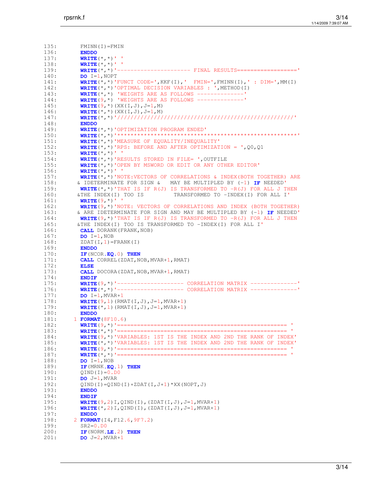| 135: | $FMINN(I)=FMIN$                                                                   |
|------|-----------------------------------------------------------------------------------|
| 136: | <b>ENDDO</b>                                                                      |
| 137: | <b>WRITE</b> $(*, *)$ '                                                           |
| 138: | <b>WRITE</b> $(*, *)$ ' '                                                         |
| 139: | <b>WRITE</b> (*,*)'---------------------- FINAL RESULTS============               |
| 140: | $DO I=1, NOPT$                                                                    |
| 141: | <b>WRITE</b> $(*, *)$ 'FUNCT CODE=', KKF(I), ' FMIN=', FMINN(I), ' : DIM=', MM(I) |
| 142: | <b>WRITE</b> $(*$ , $*$ ) 'OPTIMAL DECISION VARIABLES : ', METHOD(I)              |
| 143: | <b>WRITE</b> $(*$ , $*)$ 'WEIGHTS ARE AS FOLLOWS ---------------'                 |
| 144: | WRITE $(9,*)$ 'WEIGHTS ARE AS FOLLOWS --------------'                             |
| 145: |                                                                                   |
|      | <b>WRITE</b> $(9, *)(XX(I, J), J=1, M)$                                           |
| 146: | WRITE $(*, *)$ $(XX(I,J), J=1, M)$                                                |
| 147: |                                                                                   |
| 148: | <b>ENDDO</b>                                                                      |
| 149: | <b>WRITE</b> (*,*) 'OPTIMIZATION PROGRAM ENDED'                                   |
| 150: |                                                                                   |
| 151: | <b>WRITE</b> (*,*) 'MEASURE OF EQUALITY/INEQUALITY'                               |
| 152: | <b>WRITE</b> $(*$ , *) 'RPS: BEFORE AND AFTER OPTIMIZATION = ', Q0, Q1            |
| 153: | <b>WRITE</b> $(*, *)$ ' '                                                         |
| 154: | <b>WRITE</b> $(*$ , $*$ ) 'RESULTS STORED IN FILE= ', OUTFILE                     |
| 155: | <b>WRITE</b> (*,*) 'OPEN BY MSWORD OR EDIT OR ANY OTHER EDITOR'                   |
| 156: | WRITE $(*, *)$ ''                                                                 |
| 157: | <b>WRITE</b> (*,*) 'NOTE: VECTORS OF CORRELATIONS & INDEX (BOTH TOGETHER) ARE     |
| 158: | & IDETERMINATE FOR SIGN & MAY BE MULTIPLED BY $(-1)$ IF NEEDED'                   |
| 159: | <b>WRITE</b> $(*,*)$ 'THAT IS IF R(J) IS TRANSFORMED TO $-R(J)$ FOR ALL J THEN    |
| 160: | & THE INDEX (I) TOO IS<br>TRANSFORMED TO -INDEX(I) FOR ALL I'                     |
| 161: | <b>WRITE</b> $(9, *)^{1}$                                                         |
| 162: | <b>WRITE (9, *) 'NOTE: VECTORS OF CORRELATIONS AND INDEX (BOTH TOGETHER)</b>      |
| 163: | & ARE IDETERMINATE FOR SIGN AND MAY BE MULTIPLED BY $(-1)$ IF NEEDED'             |
| 164: | <b>WRITE</b> (9,*)'THAT IS IF R(J) IS TRANSFORMED TO $-R(J)$ FOR ALL J THEN       |
| 165: | & THE INDEX(I) TOO IS TRANSFORMED TO -INDEX(I) FOR ALL I'                         |
| 166: | <b>CALL</b> DORANK (FRANK, NOB)                                                   |
|      |                                                                                   |
| 167: | $DO I=1, NOB$                                                                     |
| 168: | $ZDAT(I, 1) = FRANK(I)$                                                           |
| 169: | <b>ENDDO</b>                                                                      |
| 170: | $IF(NCOR.EQ.0)$ THEN                                                              |
| 171: | CALL CORREL (ZDAT, NOB, MVAR+1, RMAT)                                             |
| 172: | <b>ELSE</b>                                                                       |
| 173: | <b>CALL</b> DOCORA (ZDAT, NOB, MVAR+1, RMAT)                                      |
| 174: | <b>ENDIF</b>                                                                      |
| 175: | <b>WRITE</b> (9,*)'-------------------- CORRELATION MATRIX -------------          |
| 176: | <b>WRITE</b> $(*, *)$ '-------------------- CORRELATION MATRIX ------------       |
| 177: | $DO I=1, MVAR+1$                                                                  |
| 178: | <b>WRITE</b> $(9, 1)$ (RMAT $(I, J)$ , J=1, MVAR+1)                               |
| 179: | <b>WRITE</b> $(*$ , 1) (RMAT $(I, J)$ , J=1, MVAR+1)                              |
| 180: | <b>ENDDO</b>                                                                      |
| 181: | 1 FORMAT (8F10.6)                                                                 |
| 182: |                                                                                   |
| 183: |                                                                                   |
| 184: | <b>WRITE</b> (9, *) 'VARIABLES: 1ST IS THE INDEX AND 2ND THE RANK OF INDEX'       |
| 185: | <b>WRITE</b> (*,*)'VARIABLES: 1ST IS THE INDEX AND 2ND THE RANK OF INDEX'         |
| 186: |                                                                                   |
| 187: |                                                                                   |
| 188: | $DO I=1, NOB$                                                                     |
| 189: | $IF$ (MRNK.EQ.1) THEN                                                             |
| 190: | $OIND(I) = 0.$ DO                                                                 |
|      |                                                                                   |
| 191: | $DO$ $J=1$ , MVAR                                                                 |
| 192: | $QIND(I) = QIND(I) + ZDAT(I, J+1) * XX(NOPT, J)$                                  |
| 193: | <b>ENDDO</b>                                                                      |
| 194: | <b>ENDIF</b>                                                                      |
| 195: | <b>WRITE</b> (9, 2) I, QIND(I), (ZDAT(I, J), J=1, MVAR+1)                         |
| 196: | <b>WRITE</b> $(*$ , 2) I, QIND(I), (ZDAT(I, J), J=1, MVAR+1)                      |
| 197: | <b>ENDDO</b>                                                                      |
| 198: | 2 FORMAT (I4, F12.6, 9F7.2)                                                       |
| 199: | $SR2=0.D0$                                                                        |
| 200: | $IF(NORM, LE. 2)$ THEN                                                            |
| 201: | $DO$ $J=2$ , $MVAR+1$                                                             |
|      |                                                                                   |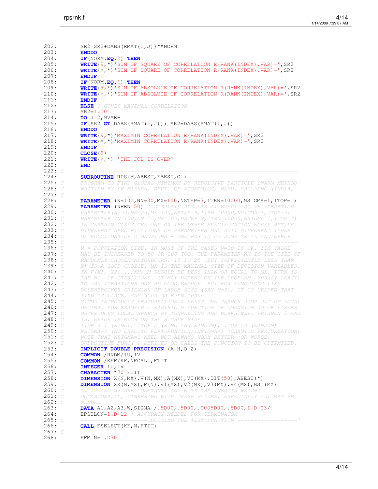202: SR2=SR2+DABS(RMAT(1,J))\*\*NORM 203: **ENDDO** 204: **IF**(NORM**.EQ.**2) **THEN** 205: **WRITE**(9,\*)'SUM OF SQUARE OF CORRELATION R(RANK(INDEX), VAR)=', SR2<br>206: **WRITE**(\*,\*)'SUM OF SOUARE OF CORRELATION R(RANK(INDEX), VAR)=', SR2 206: **WRITE**(\*,\*)'SUM OF SQUARE OF CORRELATION R(RANK(INDEX),VAR)=',SR2 207: **ENDIF**<br>208: **IF** (NO 208: **IF**(NORM**.EQ.**1) **THEN WRITE** $(9,*)$ 'SUM OF ABSOLUTE OF CORRELATION R(RANK(INDEX), VAR) = ', SR2 210: **WRITE** $(*,*)$ 'SUM OF ABSOLUTE OF CORRELATION R(RANK(INDEX), VAR) = ', SR2 211: **ENDIF**<br>212: **ELSE** 212: **ELSE** *! GIVES MAXIMAL CORRELATION*<br>213: SR2=1.D0 SR2=1.D0 214: **DO** J=2,MVAR+1 215: **IF**(SR2**.GT.**DABS(RMAT(1,J))) SR2=DABS(RMAT(1,J))<br>216: **ENDDO** 216: **ENDDO WRITE** $(9,*)'$  MAXIMIN CORRELATION R(RANK(INDEX), VAR) = ', SR2 218: **WRITE**(\*,\*)'MAXIMIN CORRELATION R(RANK(INDEX), VAR)=', SR2<br>219: **ENDIF** 219: **ENDIF**<br>220: **CLOSE** 220: **CLOSE**(9)<br>221: **WRTTE**(\*. 221: **WRITE**(\*,\*) 'THE JOB IS OVER' 222: **END** 223: *C -----------------------------------------------------------------* 224: **SUBROUTINE** RPS(M, ABEST, FBEST, G1)<br>225: *C* PROGRAM TO FIND GLOBAL MINIMUM B 225: *C PROGRAM TO FIND GLOBAL MINIMUM BY REPULSIVE PARTICLE SWARM METHOD* 226: *C WRITTEN BY SK MISHRA, DEPT. OF ECONOMICS, NEHU, SHILLONG (INDIA)* 227: *C -----------------------------------------------------------------* 228: **PARAMETER** (N=100,NN=30,MX=100,NSTEP=7,ITRN=10000,NSIGMA=1,ITOP=1) 229: **PARAMETER** (NPRN=50) *! DISPLAYS RESULTS AT EVERY 500 TH ITERATION* 230: *C PARAMETER(N=50,NN=25,MX=100,NSTEP=9,ITRN=10000,NSIGMA=1,ITOP=3)* 231: *C PARAMETER (N=100,NN=15,MX=100,NSTEP=9,ITRN=10000,NSIGMA=1,ITOP=3)* 232: *C IN CERTAIN CASES THE ONE OR THE OTHER SPECIFICATION WORKS BETTER* 233: *C DIFFERENT SPECIFICATIONS OF PARAMETERS MAY SUIT DIFFERENT TYPES* 234: *C OF FUNCTIONS OR DIMENSIONS - ONE HAS TO DO SOME TRIAL AND ERROR* 235: *C -----------------------------------------------------------------* 236: *C N = POPULATION SIZE. IN MOST OF THE CASES N=30 IS OK. ITS VALUE* 237: *C MAY BE INCREASED TO 50 OR 100 TOO. THE PARAMETER NN IS THE SIZE OF* 238: *C RANDOMLY CHOSEN NEIGHBOURS. 15 TO 25 (BUT SUFFICIENTLY LESS THAN* 239: *C N) IS A GOOD CHOICE. MX IS THE MAXIMAL SIZE OF DECISION VARIABLES.* 240: *C IN F(X1, X2,...,XM) M SHOULD BE LESS THAN OR EQUAL TO MX. ITRN IS* 241: *C* THE NO. OF ITERATIONS. IT MAY DEPEND ON THE PROBLEM. 200 (AT LEAST) 242: *C* TO 500 ITERATIONS MAY BE GOOD ENOUGH. BUT FOR FUNCTIONS LIKE 242: *C TO 500 ITERATIONS MAY BE GOOD ENOUGH. BUT FOR FUNCTIONS LIKE* 243: *C ROSENBROCKOR GRIEWANK OF LARGE SIZE (SAY M=30) IT IS NEEDED THAT* 244: *C ITRN IS LARGE, SAY 5000 OR EVEN 10000.* 245: *C SIGMA INTRODUCES PERTURBATION & HELPS THE SEARCH JUMP OUT OF LOCAL* 246: *C OPTIMA. FOR EXAMPLE : RASTRIGIN FUNCTION OF DMENSION 3O OR LARGER* 247: *C NSTEP DOES LOCAL SEARCH BY TUNNELLING AND WORKS WELL BETWEEN 5 AND* 248: *C* 15, WHICH IS MUCH ON THE HIGHER SIDE.<br>249: *C* TTOP <= 1 (RING): TTOP=2 (RING AND RAN 249: *C ITOP <=1 (RING); ITOP=2 (RING AND RANDOM); ITOP=>3 (RANDOM)* 250: *C NSIGMA=0 (NO CHAOTIC PERTURBATION);NSIGMA=1 (CHAOTIC PERTURBATION)* 251: *C NOTE THAT NSIGMA=1 NEED NOT ALWAYS WORK BETTER (OR WORSE)* 252: *C SUBROUTINE FUNC( ) DEFINES OR CALLS THE FUNCTION TO BE OPTIMIZED.* 253: **IMPLICIT DOUBLE PRECISION** (A-H, O-Z) 254: **COMMON** /RNDM/IU,IV 255: **COMMON** / KFF/KF, NFCALL, FTIT<br>256: **INTEGER** IU, IV **256: INTEGER** IU, IV<br>257: **CHARACTER** \*70 257: **CHARACTER** \*70 FTIT 258: **DIMENSION** X(N, MX), V(N, MX), A(MX), VI(MX), TIT(50), ABEST(\*) 259: **DIMENSION** XX(N,MX), F(N), V1(MX), V2(MX), V3(MX), V4(MX), BST(MX)<br>260: C alas and as are constants and *m* is the inertia meicht 260: *C A1 A2 AND A3 ARE CONSTANTS AND W IS THE INERTIA WEIGHT.* 261: *C OCCASIONALLY, TINKERING WITH THESE VALUES, ESPECIALLY A3, MAY BE* 262: *C NEEDED.* 263: **DATA** A1,A2,A3,W,SIGMA /.5D00,.5D00,.0005D00,.5D00,1.D-03/ 264: EPSILON=1.D-12 *! ACCURACY NEEDED FOR TERMINATON* 265: *C --------------------CHOOSING THE TEST FUNCTION ------------------'* 266: **CALL** FSELECT(KF, M, FTIT)<br>267: C 267: *C -----------------------------------------------------------------* 268: FFMIN=1.D30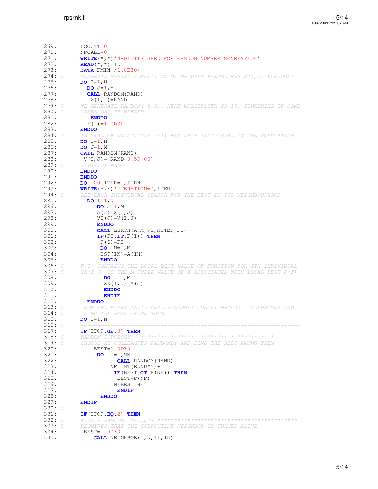| 269:               |     | LCOUNT=0                                                                             |
|--------------------|-----|--------------------------------------------------------------------------------------|
| 270:               |     | $NFCALL=0$                                                                           |
| 271:               |     | <b>WRITE</b> (*,*)'4-DIGITS SEED FOR RANDOM NUMBER GENERATION'                       |
| 272:               |     | $READ$ $(* , * )$ IU                                                                 |
| 273:               |     | $DATA$ FMIN $/1.0E30/$                                                               |
| 274: C             |     | GENERATE N-SIZE POPULATION OF M-TUPLE PARAMETERS X(I, J) RANDOMLY                    |
| 275:               |     | $DO I=1, N$                                                                          |
| 276:               |     | $DO$ $J=1$ , M                                                                       |
| 277:               |     | <b>CALL</b> RANDOM (RAND)                                                            |
| 278:               |     | $X(I,J) =$ RAND                                                                      |
| 279: C             |     | WE GENERATE RANDOM(-5,5). HERE MULTIPLIER IS 10. TINKERING IN SOME                   |
| 280: $C$           |     | CASES MAY BE NEEDED                                                                  |
| 281:               |     |                                                                                      |
|                    |     | <b>ENDDO</b>                                                                         |
| 282:               |     | $F(I) = 1.0D30$                                                                      |
| 283:               |     | <b>ENDDO</b>                                                                         |
| 284: C             |     | INITIALISE VELOCITIES V(I) FOR EACH INDIVIDUAL IN THE POPULATION                     |
| 285:               |     | $DO I=1, N$                                                                          |
| 286:               |     | $DO$ $J=1$ , M                                                                       |
| 287:               |     | <b>CALL</b> RANDOM (RAND)                                                            |
| 288:               |     | $V(I, J) = (RAND - 0.5D + 00)$                                                       |
| 289: C             |     | $V(I,J) =$ RAND                                                                      |
| 290:               |     | <b>ENDDO</b>                                                                         |
| 291:               |     | <b>ENDDO</b>                                                                         |
| 292:               |     | DO 100 ITER=1, ITRN                                                                  |
| 293:               |     | $WRITE$ (*,*) 'ITERATION=', ITER                                                     |
| 294: C             |     | LET EACH INDIVIDUAL SEARCH FOR THE BEST IN ITS NEIGHBOURHOOD                         |
| 295:               |     | $DO I=1, N$                                                                          |
| 296:               |     | $DO$ $J=1$ , M                                                                       |
| 297:               |     | $A(J) = X(I,J)$                                                                      |
| 298:               |     | $VI(J) = V(I,J)$                                                                     |
| 299:               |     | <b>ENDDO</b>                                                                         |
| 300:               |     | CALL LSRCH(A, M, VI, NSTEP, FI)                                                      |
| 301:               |     | $IF(FI, LT, F(I))$ THEN                                                              |
| 302:               |     | $F(I) = FI$                                                                          |
| 303:               |     | $DO IN=1, M$                                                                         |
| 304:               |     | $BST(IN) = A(IN)$                                                                    |
| 305:               |     | <b>ENDDO</b>                                                                         |
| 306:               | - C | F(I) CONTAINS THE LOCAL BEST VALUE OF FUNCTION FOR ITH INDIVIDUAL                    |
| 307: $C$           |     | $XX(I,J)$ IS THE M-TUPLE VALUE OF X ASSOCIATED WITH LOCAL BEST $F(I)$                |
| 308:               |     | DO $J=1,M$                                                                           |
| 309:               |     | $XX(I,J) = A(J)$                                                                     |
| 310:               |     | <b>ENDDO</b>                                                                         |
| 311:               |     | <b>ENDIF</b>                                                                         |
| 312:               |     | <b>ENDDO</b>                                                                         |
| 313: $C$           |     | NOW LET EVERY INDIVIDUAL RANDOMLY COSULT NN (< <n) and<="" colleagues="" th=""></n)> |
| 314: C             |     | FIND THE BEST AMONG THEM                                                             |
| 315:               |     | $DO I=1, N$                                                                          |
| 316: C             |     |                                                                                      |
| 317:               |     | $IF$ (ITOP. GE. 3) THEN                                                              |
| 318: C             |     |                                                                                      |
| 319: C             |     | CHOOSE NN COLLEAGUES RANDOMLY AND FIND THE BEST AMONG THEM                           |
| 320:               |     | BEST=1.0D30                                                                          |
| 321:               |     | $DO$ $II=1$ , $NN$                                                                   |
| 322:               |     |                                                                                      |
| 323:               |     | <b>CALL</b> RANDOM (RAND)                                                            |
| 324:               |     | $NF=INT (RAND*N)+1$                                                                  |
|                    |     | $IF$ (BEST.GT.F(NF)) THEN                                                            |
| 325:               |     | $\texttt{BEST}=F(NF)$                                                                |
| 326:               |     | NFBEST=NF                                                                            |
| 327:               |     | <b>ENDIF</b>                                                                         |
| 328:               |     | <b>ENDDO</b>                                                                         |
| 329:               |     | <b>ENDIF</b>                                                                         |
| $330: C-$          |     |                                                                                      |
| 331:               |     | $IF$ (ITOP.EQ.2) THEN                                                                |
| 332: $C$<br>333: C |     |                                                                                      |
| 334:               |     | REOUIRES THAT THE SUBROUTINE NEIGHBOR IS TURNED ALIVE                                |
| 335:               |     | $\texttt{BEST}=1.0D30$                                                               |
|                    |     | CALL NEIGHBOR(I, N, I1, I3)                                                          |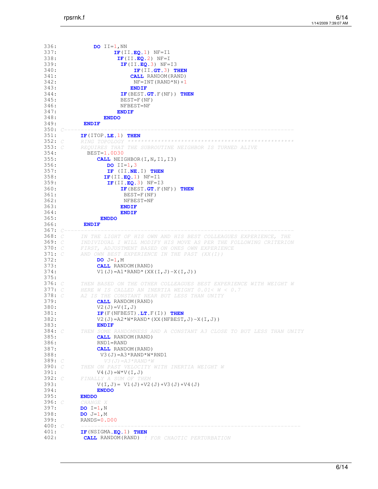| 336:                 | $DO$ $II=1$ , $NN$                                                                            |
|----------------------|-----------------------------------------------------------------------------------------------|
| 337:                 | $IF$ (II.EQ.1) NF=I1                                                                          |
| 338:                 | $IF (II.EQ.2) NF=I$                                                                           |
| 339:                 | $IF (II.EQ.3) NF=I3$                                                                          |
| 340:                 | $IF(II.GT.3)$ THEN                                                                            |
| 341:                 | <b>CALL</b> RANDOM (RAND)                                                                     |
| 342:                 | $NF=INT (RAND*N)+1$                                                                           |
| 343:                 | <b>ENDIF</b>                                                                                  |
| 344:                 | IF (BEST.GT.F(NF)) THEN                                                                       |
| 345:                 | $BEST=F(NF)$                                                                                  |
| 346:                 | NFBEST=NF                                                                                     |
| 347:                 | <b>ENDIF</b>                                                                                  |
| 348:                 | <b>ENDDO</b>                                                                                  |
| 349:                 | <b>ENDIF</b>                                                                                  |
| $350:$ $C--$         |                                                                                               |
| 351:                 | $IF$ (ITOP.LE.1) THEN                                                                         |
| 352: C               |                                                                                               |
| 353: C               | REOUIRES THAT THE SUBROUTINE NEIGHBOR IS TURNED ALIVE                                         |
| 354:                 | BEST-1.0D30                                                                                   |
| 355:                 | <b>CALL</b> NEIGHBOR(I, N, I1, I3)                                                            |
| 356:                 | <b>DO</b> II=1,3                                                                              |
| 357:                 | IF (II.NE.I) THEN                                                                             |
| 358:                 | $IF(II, EO.1) NF=I1$                                                                          |
| 359:                 | $IF (II.EQ.3) NF=I3$                                                                          |
| 360:                 | IF (BEST.GT.F(NF)) THEN                                                                       |
| 361:                 | BEST=F(NF)                                                                                    |
| 362:                 | NFBEST=NF                                                                                     |
| 363:                 | <b>ENDIF</b>                                                                                  |
| 364:                 | <b>ENDIF</b>                                                                                  |
| 365:                 | <b>ENDDO</b>                                                                                  |
| 366:                 | <b>ENDIF</b>                                                                                  |
| $367: C -$<br>368: C |                                                                                               |
| 369: C               | IN THE LIGHT OF HIS OWN AND HIS BEST COLLEAGUES EXPERIENCE, THE                               |
| 370: $C$             | INDIVIDUAL I WILL MODIFY HIS MOVE AS PER THE FOLLOWING CRITERION                              |
| 371: C               | FIRST, ADJUSTMENT BASED ON ONES OWN EXPERIENCE<br>AND OWN BEST EXPERIENCE IN THE PAST (XX(I)) |
| 372:                 | $DO$ $J=1$ , M                                                                                |
| 373:                 | <b>CALL</b> RANDOM (RAND)                                                                     |
| 374:                 | $V1 (J) = A1 * RAND * (XX (I, J) - X (I, J))$                                                 |
| 375:                 |                                                                                               |
| 376: C               | THEN BASED ON THE OTHER COLLEAGUES BEST EXPERIENCE WITH WEIGHT W                              |
| $377:$ $\degree$     | HERE W IS CALLED AN INERTIA WEIGHT 0.01< W < 0.7                                              |
| 378: C               | A2 IS THE CONSTANT NEAR BUT LESS THAN UNITY                                                   |
| 379:                 | <b>CALL</b> RANDOM (RAND)                                                                     |
| 380:                 | $V2(J) = V(I,J)$                                                                              |
| 381:                 | IF $(F(NFBEST) .LT.F(I))$ THEN                                                                |
| 382:                 | $V2(J) = A2*W*RAND*(XX(NFBEST,J)-X(I,J))$                                                     |
| 383:                 | <b>ENDIF</b>                                                                                  |
| 384: C               | THEN SOME RANDOMNESS AND A CONSTANT A3 CLOSE TO BUT LESS THAN UNITY                           |
| 385:                 | <b>CALL</b> RANDOM (RAND)                                                                     |
| 386:                 | RND1=RAND                                                                                     |
| 387:                 | <b>CALL</b> RANDOM (RAND)                                                                     |
| 388:                 | $V3$ (J) = A3 * RAND * W * RND 1                                                              |
| 389: C               | $V3 (J) = A3 * RAND * W$                                                                      |
| 390: $C$             | THEN ON PAST VELOCITY WITH INERTIA WEIGHT W                                                   |
| 391:                 | $V4(J) = W^*V(I,J)$                                                                           |
| 392: $C$             | FINALLY A SUM OF THEM                                                                         |
| 393:                 | $V(I, J) = V1(J) + V2(J) + V3(J) + V4(J)$                                                     |
| 394:                 | <b>ENDDO</b>                                                                                  |
| 395:                 | <b>ENDDO</b>                                                                                  |
| 396: C               | CHANGE X                                                                                      |
| 397:                 | $DO I=1, N$                                                                                   |
| 398:                 | $DO$ $J=1$ , M                                                                                |
| 399:                 | $RANDS=0. D00$                                                                                |
| 400: C               |                                                                                               |
| 401:                 | IF (NSIGMA.EQ.1) THEN                                                                         |
| 402:                 | <b>CALL RANDOM(RAND)</b> ! FOR CHAOTIC PERTURBATION                                           |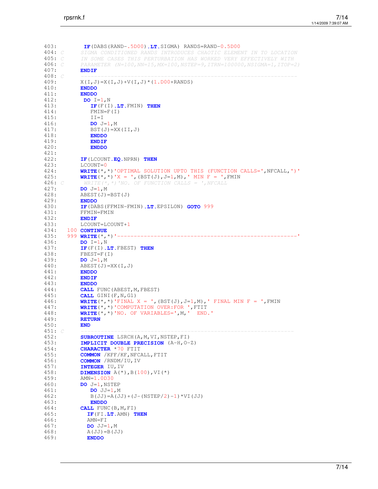403: **IF**(DABS(RAND-.5D00)**.LT.**SIGMA) RANDS=RAND-0.5D00 404: *C SIGMA CONDITIONED RANDS INTRODUCES CHAOTIC ELEMENT IN TO LOCATION* 405: *C IN SOME CASES THIS PERTURBATION HAS WORKED VERY EFFECTIVELY WITH* 406: *C PARAMETER (N=100,NN=15,MX=100,NSTEP=9,ITRN=100000,NSIGMA=1,ITOP=2)* 407: **ENDIF** 408: *C -----------------------------------------------------------------* 409:  $X(I,J) = X(I,J) + V(I,J) * (1.D00 + RANDS)$ 410: **ENDDO** 411: **ENDDO** 412: **DO** I=1, N<br>413: **IF** (F(I 413: **IF**(F(I)**.LT.**FMIN) **THEN** 414: FMIN=F(I) 415: II=I 416: **DO** J=1, M<br>417: **BST**(J)=X)  $BST(J)=XX(II,J)$ 418: **ENDDO** 419: **ENDIF** 420: **ENDDO** 421: 422: **IF**(LCOUNT**.EQ.**NPRN) **THEN** LCOUNT=0 424: **WRITE**(\*,\*)'OPTIMAL SOLUTION UPTO THIS (FUNCTION CALLS=',NFCALL,')' 425: **WRITE**(\*,\*)'X = ',(BST(J),J=1,M),' MIN F = ',FMIN<br>426: C WRITE(\*,\*)'NO. OF FUNCTION CALLS = ',NFCALL 426: *C WRITE(\*,\*)'NO. OF FUNCTION CALLS = ',NFCALL* 427: **DO** J=1,M  $ABEST(J)=BST(J)$ 429: **ENDDO** 430: **IF**(DABS(FFMIN-FMIN)**.LT.**EPSILON) **GOTO** 999 431: FFMIN=FMIN 432: **ENDIF** 433: LCOUNT=LCOUNT+1<br>434: 100 CONTINUE 434: 100 **CONTINUE** 435: 999 **WRITE**(\*,\*)'------------------------------------------------------' 436: **DO** I=1, N<br>437: **IF** (F(I). 437: **IF**(F(I)**.LT.**FBEST) **THEN**  $FBEST=F(I)$ 439: **DO** J=1,M 440: ABEST(J)=XX(I,J) 441: **ENDDO** 442: **ENDIF** 443: **ENDDO** 444: **CALL** FUNC (ABEST, M, FBEST)<br>445: **CALL** GINI (F, N, G1) 445: **CALL** GINI(F, N, G1)<br>446: **WRITE**(\*, \*) 'FINAL 446: **WRITE**(\*,\*)'FINAL X = ',(BST(J),J=1,M),' FINAL MIN F = ',FMIN 447: **WRITE**(\*.\*)'COMPUTATION OVER:FOR ',FTIT 447: **WRITE**(\*,\*)'COMPUTATION OVER:FOR ',FTIT<br>448: **WRITE**(\*,\*)'NO. OF VARIABLES=',M,' END  $\text{WRITE}$ <sup>(\*</sup>,<sup>\*</sup>)'NO. OF VARIABLES=', M,' END. 449: **RETURN**<br>450: **END**  $450:$ <br> $451:$   $\subset$ 451: *C ----------------------------------------------------------------* 452: **SUBROUTINE** LSRCH(A, M, VI, NSTEP, FI)<br>453: **IMPLICIT DOUBLE PRECISION** (A-H, O-**IMPLICIT DOUBLE PRECISION**  $(A-H, O-Z)$ 454: **CHARACTER** \*70 FTIT 455: **COMMON** /KFF/KF,NFCALL,FTIT<br>456: **COMMON** /RNDM/IU,IV 456: **COMMON** / RNDM/IU, IV<br>457: **INTEGER** IU, IV 457: **INTEGER** IU, IV<br>458: **DIMENSION** A(\* 458: **DIMENSION** A(\*),B(100),VI(\*) 459: AMN=1.0D30 460: **DO** J=1,NSTEP 461: **DO** JJ=1, M<br>462: **B** (JJ)=A (J)  $B(JJ) = A(JJ) + (J - (NSTER/2) - 1) * VI(JJ)$ 463: **ENDDO** 464: **CALL** FUNC(B,M,FI) 465: **IF**(FI**.LT.**AMN) **THEN** 466: AMN=FI 467: **DO** JJ=1,M  $A(JJ)=B(JJ)$ 469: **ENDDO**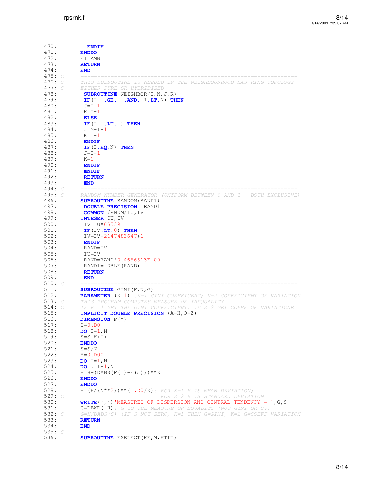| 470:             | <b>ENDIF</b>                                                                         |
|------------------|--------------------------------------------------------------------------------------|
| 471:             | <b>ENDDO</b>                                                                         |
| 472:             | $F I = AMN$                                                                          |
| 473:             | <b>RETURN</b>                                                                        |
| 474:             | <b>END</b>                                                                           |
| 475: C           |                                                                                      |
| 476: C           | THIS SUBROUTINE IS NEEDED IF THE NEIGHBOURHOOD HAS RING TOPOLOGY                     |
| 477: C           | EITHER PURE OR HYBRIDIZED                                                            |
| 478:             | <b>SUBROUTINE</b> NEIGHBOR(I, N, J, K)                                               |
| 479:             | IF $(I-1.GE, 1$ . AND. I.LT. N) THEN                                                 |
| 480:             | $J = I - 1$                                                                          |
| 481:             | $K = I + 1$                                                                          |
| 482:             | <b>ELSE</b>                                                                          |
| 483:             | $IF(I-1, LT, 1)$ THEN                                                                |
| 484:             | $J=N-I+1$                                                                            |
| 485:             | $K = I + 1$                                                                          |
| 486:             | <b>ENDIF</b>                                                                         |
| 487:             | IF(I.EQ.N) THEN                                                                      |
| 488:             | $J = I - 1$                                                                          |
| 489:             | $K=1$                                                                                |
| 490:             |                                                                                      |
|                  | <b>ENDIF</b>                                                                         |
| 491:             | <b>ENDIF</b>                                                                         |
| 492:             | <b>RETURN</b>                                                                        |
| 493:             | <b>END</b>                                                                           |
| 494: C           |                                                                                      |
| 495: $C$         | RANDOM NUMBER GENERATOR (UNIFORM BETWEEN 0 AND 1 - BOTH EXCLUSIVE)                   |
| 496:             | <b>SUBROUTINE</b> RANDOM (RAND1)                                                     |
| 497:             | <b>DOUBLE PRECISION</b><br>RAND1                                                     |
| 498:             | <b>COMMON</b> / RNDM/IU, IV                                                          |
| 499:             | INTEGER IU, IV                                                                       |
| 500:             | $IV = IU * 65539$                                                                    |
| 501:             | IF $(IV, LT.0)$ THEN                                                                 |
| 502:             | IV=IV+2147483647+1                                                                   |
| 503:             | <b>ENDIF</b>                                                                         |
| 504:             | RAND=IV                                                                              |
| 505:             | $IU=IV$                                                                              |
| 506:             | RAND=RAND*0.4656613E-09                                                              |
| 507:             | RAND1= DBLE (RAND)                                                                   |
| 508:             | <b>RETURN</b>                                                                        |
| 509:             | <b>END</b>                                                                           |
| 510: $C$         |                                                                                      |
| 511:             | <b>SUBROUTINE</b> GINI (F, N, G)                                                     |
| 512:             | PARAMETER (K=1) !K=1 GINI COEFFICENT; K=2 COEFFICIENT OF VARIATION                   |
| 513: $C$         | THIS PROGRAM COMPUTES MEASURE OF INEQUALITY                                          |
| 514: $C$         | IF K =1 GET THE GINI COEFFICIENT. IF K=2 GET COEFF OF VARIATIONE                     |
| 515:             | IMPLICIT DOUBLE PRECISION (A-H, O-Z)                                                 |
| 516:             | DIMENSION $F$ $(*)$                                                                  |
| 517:             | $S=0.$ DO                                                                            |
| 518:             | $DO I=1, N$                                                                          |
| 519:             | $S=S+F(I)$                                                                           |
| 520:             | <b>ENDDO</b>                                                                         |
| 521:             | $S = S/N$                                                                            |
| 522:             | $H=0.DD00$                                                                           |
| 523:             | <b>DO</b> $I=1, N-1$                                                                 |
| 524:             | DO $J=I+1$ , N                                                                       |
| 525:             | $H=H+ (DABS (F (I) -F (J)))**K$                                                      |
| 526:             | <b>ENDDO</b>                                                                         |
| 527:             | <b>ENDDO</b>                                                                         |
| 528:             |                                                                                      |
| 529: $C$         | $H=(H/(N^*2))^**(1.D0/K)$   FOR K=1 H IS MEAN DEVIATION;                             |
|                  | FOR K=2 H IS STANDARD DEVIATION                                                      |
| 530:             | <b>WRITE</b> $(\star, \star)$ 'MEASURES OF DISPERSION AND CENTRAL TENDENCY = ', G, S |
| 531:             | <b>G=DEXP(-H)</b> ! G IS THE MEASURE OF EQUALITY (NOT GINI OR CV)                    |
| 532: $C$         | $G=H/DABS(S)$ !IF S NOT ZERO, K=1 THEN $G=GNI$ , K=2 $G=COEFF$ VARIATION             |
| 533:             | <b>RETURN</b>                                                                        |
| 534:<br>535: $C$ | <b>END</b>                                                                           |
|                  |                                                                                      |
| 536:             | <b>SUBROUTINE FSELECT (KF, M, FTIT)</b>                                              |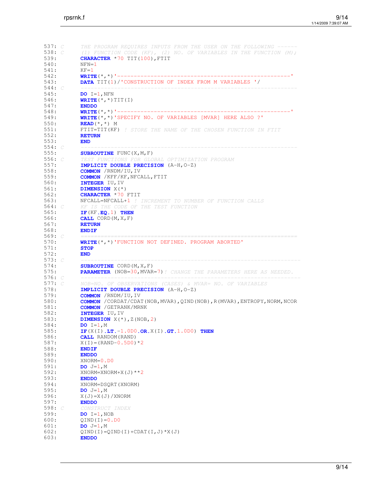```
537: C THE PROGRAM REQUIRES INPUTS FROM THE USER ON THE FOLLOWING --
538: C (1) FUNCTION CODE (KF), (2) NO. OF VARIABLES IN THE FUNCTION (M);
539: CHARACTER *70 TIT(100), FTIT<br>540: NFN=1
            NFN=1541: KF=1
542: WRITE(*,*)'----------------------------------------------------'
543: DATA TIT(1)/'CONSTRUCTION OF INDEX FROM M VARIABLES '/
544: C -----------------------------------------------------------------
545: DO I=1, NFN<br>546: WRITE (*, *)
546: WRITE(*,*)TIT(I)<br>547: ENDDO
547: ENDDO
            '------------
549: WRITE(*,*)'SPECIFY NO. OF VARIABLES [MVAR] HERE ALSO ?'
550: READ(*,*) M
551: FIIT=TIT(KF) ! STORE THE NAME OF THE CHOSEN FUNCTION IN FTIT<br>552: RETURN
            552: RETURN
553: END<br>554: C ---
554: C -----------------------------------------------------------------
555: SUBROUTINE FUNC(X, M, F)<br>556: C TEST FUNCTIONS FOR GLO
            556: C TEST FUNCTIONS FOR GLOBAL OPTIMIZATION PROGRAM
557: IMPLICIT DOUBLE PRECISION (A-H, O-Z)
558: COMMON /RNDM/IU,IV
559: COMMON / KFF/KF, NFCALL, FTIT
            560: INTEGER IU,IV
561: DIMENSION X(*)<br>562: CHARACTER *70
            562: CHARACTER *70 FTIT
563: NFCALL=NFCALL+1 ! INCREMENT TO NUMBER OF FUNCTION CALLS
564: C KF IS THE CODE OF THE TEST FUNCTION
565: IF(KF.EQ.1) THEN
566: CALL CORD(M, X, F)<br>567: RETURN
567: RETURN<br>568: ENDIF
            568: ENDIF
569: C =================================================================
570: WRITE(*,*)'FUNCTION NOT DEFINED. PROGRAM ABORTED'<br>571: STOP
            571: STOP
572:<br>573: C573: C ------------------------------------------------------------------
574: SUBROUTINE CORD(M, X, F)<br>575: PARAMETER (NOB=30, MVAR
575: PARAMETER (NOB=30,MVAR=7)! CHANGE THE PARAMETERS HERE AS NEEDED.
576: C ------------------------------------------------------------------
577: C NOB=NO. OF OBSERVATIONS (CASES) & MVAR= NO. OF VARIABLES
578: IMPLICIT DOUBLE PRECISION (A-H, O-Z)<br>579: COMMON / RNDM/IU, IV
579: COMMON / RNDM/IU, IV<br>580: COMMON / CORDAT/CDAT
580: COMMON / CORDAT/CDAT (NOB, MVAR), QIND (NOB), R(MVAR), ENTROPY, NORM, NCOR<br>581: COMMON / GETRANK/MRNK
581: COMMON /GETRANK/MRNK<br>582: INTEGER IU, IV
            582: INTEGER IU,IV
583: DIMENSION X(*), Z(NOB, 2)<br>584: DO I=1, M
584: DO I=1, M<br>585: IF(X(T), 1
585: IF(X(I).LT.-1.0D0.OR.X(I).GT.1.0D0) THEN
586: CALL RANDOM(RAND)<br>587: X(I) = (RAND-0.5D0)X(I) = (RAND-0.5D0)*2588: ENDIF
589: ENDDO
            590: XNORM=0.D0
591: DO J=1, M<br>592: XNORM=XN
            XNORM=XNORM+X(J) **2
593: ENDDO
594: XNORM=DSQRT(XNORM)<br>595: DO J=1.M
595: DO J=1, M<br>596: X(J)=X(J)
            X(J) = X(J) / XNORM597: ENDDO
598: C CONSTRUCT INDEX<br>599: DO I=1,NOB
            599: DO I=1,NOB
600: QIND(I)=0.D0
601: DO J=1, M<br>602: QIND(I)=9
           QIND(I) = QIND(I) + CDAT(I,J) *X(J)603: ENDDO
```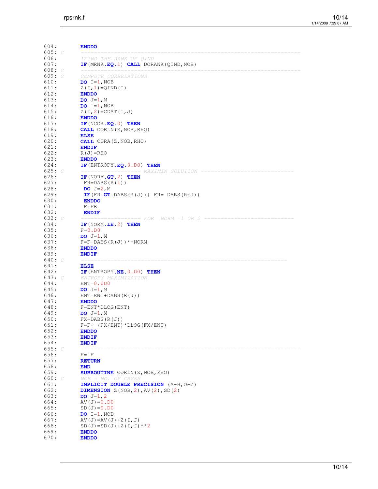| 604:         | <b>ENDDO</b>                                     |
|--------------|--------------------------------------------------|
| 605: C       |                                                  |
| 606:         | !FIND THE RANK OF QIND                           |
| 607:         | $IF$ (MRNK. $EQ.1)$ CALL DORANK (QIND, NOB)      |
| 608: $C$     |                                                  |
| 609: C       | COMPUTE CORRELATIONS                             |
| 610:         | $DO I=1, NOB$                                    |
| 611:         | $Z(I, 1) = QIND(I)$                              |
| 612:         | <b>ENDDO</b>                                     |
| 613:         | $DO$ $J=1, M$                                    |
| 614:<br>615: | $DO I=1, NOB$<br>$Z(I, 2) = CDAT(I, J)$          |
| 616:         | <b>ENDDO</b>                                     |
| 617:         | $IF(NCOR.EQ.0)$ THEN                             |
| 618:         | <b>CALL</b> CORLN(Z, NOB, RHO)                   |
| 619:         | <b>ELSE</b>                                      |
| 620:         | <b>CALL</b> CORA (Z, NOB, RHO)                   |
| 621:         | <b>ENDIF</b>                                     |
| 622:         | $R(J) = RHO$                                     |
| 623:         | <b>ENDDO</b>                                     |
| 624:         | $IF$ (ENTROPY.EQ.0.D0) THEN                      |
| 625: C       |                                                  |
| 626:         | $IF(NORM.GT.2)$ THEN                             |
| 627:         | $FR = DABS(R(1))$                                |
| 628:         | $DO$ $J=2$ , M                                   |
| 629:         | IF $(FR.GT.DABS(R(J)))$ $FR= DABS(R(J))$         |
| 630:         | <b>ENDDO</b>                                     |
| 631:         | $F = FR$                                         |
| 632:         | <b>ENDIF</b>                                     |
| 633: $C$     |                                                  |
| 634:         | $IF(NORM, LE. 2)$ THEN                           |
| 635:         | $F=0.$ DO                                        |
| 636:         | $DO$ $J=1, M$                                    |
| 637:<br>638: | $F = F + DABS (R(J))$ **NORM                     |
| 639:         | <b>ENDDO</b><br><b>ENDIF</b>                     |
| 640: C       |                                                  |
| 641:         | <b>ELSE</b>                                      |
| 642:         | IF (ENTROPY.NE. 0.D0) THEN                       |
| 643: $C$     | ENTROPY MAXIMIZATION                             |
| 644:         | $ENT=0.0D0$                                      |
| 645:         | $DO$ $J=1$ , M                                   |
| 646:         | $ENT=ENT+DABS(R(J))$                             |
| 647:         | <b>ENDDO</b>                                     |
| 648:         | $F = ENT * DLOG (ENT)$                           |
| 649:         | $DO J=1, M$                                      |
| 650:         | $FX = DABS(R(J))$                                |
| 651:         | $F=F+$ (FX/ENT) *DLOG(FX/ENT)                    |
| 652:<br>653: | <b>ENDDO</b>                                     |
| 654:         | <b>ENDIF</b>                                     |
| 655: C       | <b>ENDIF</b>                                     |
| 656:         | $F = -F$                                         |
| 657:         | <b>RETURN</b>                                    |
| 658:         | <b>END</b>                                       |
| 659:         | <b>SUBROUTINE</b> CORLN(Z, NOB, RHO)             |
| 660: C       | $NOB = NO. OF CASES$                             |
| 661:         | IMPLICIT DOUBLE PRECISION (A-H, O-Z)             |
| 662:         | <b>DIMENSION</b> $Z(NOB, 2)$ , $AV(2)$ , $SD(2)$ |
| 663:         | <b>DO</b> J=1,2                                  |
| 664:         | $AV(J) = 0. D0$                                  |
| 665:         | $SD(J) = 0. D0$                                  |
| 666:         | $DO I=1, NOB$                                    |
| 667:         | AV $(J)$ = AV $(J)$ + Z $(I, J)$                 |
| 668:         | $SD(J) = SD(J) + Z(I, J) * * 2$                  |
| 669:         | <b>ENDDO</b>                                     |
| 670:         | <b>ENDDO</b>                                     |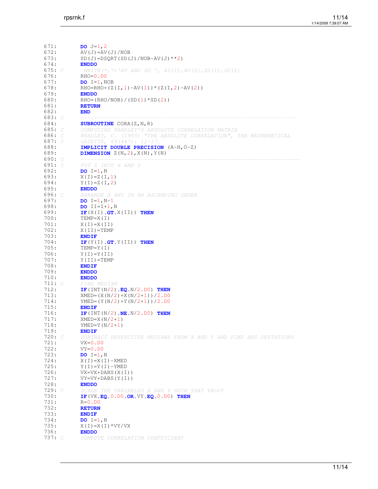| 671:     | <b>DO</b> $J=1, 2$                                               |
|----------|------------------------------------------------------------------|
| 672:     | $AV(J) = AV(J) / NOB$                                            |
| 673:     | $SD(J) = DSQRT(SD(J) / NOB-AV(J) * * 2)$                         |
| 674:     | <b>ENDDO</b>                                                     |
| 675: $C$ | $WRITE$ (*, *) 'AV AND SD ', AV(1), AV(2), SD(1), SD(2)          |
| 676:     | $RHO=0$ . $D0$                                                   |
| 677:     | $DO$ I=1, NOB                                                    |
| 678:     | RHO=RHO+ $(Z(I, 1) - AV(1)) * (Z(I, 2) - AV(2))$                 |
| 679:     | <b>ENDDO</b>                                                     |
| 680:     | $RHO = (RHO/NOB) / (SD(1) * SD(2))$                              |
| 681:     | <b>RETURN</b>                                                    |
| 682:     | <b>END</b>                                                       |
| 683: C   |                                                                  |
| 684:     | <b>SUBROUTINE</b> CORA (Z, N, R)                                 |
| 685: $C$ | COMPUTING BRADLEY'S ABSOLUTE CORRELATION MATRIX                  |
| 686: $C$ | BRADLEY, C. (1985) "THE ABSOLUTE CORRELATION", THE MATHEMATICAL  |
| 687: $C$ | GAZETTE, 69(447): 12-17.                                         |
| 688:     | IMPLICIT DOUBLE PRECISION (A-H, O-Z)                             |
| 689:     | <b>DIMENSION</b> $Z(N, 2)$ , $X(N)$ , $Y(N)$                     |
| 690: $C$ |                                                                  |
| 691: C   | PUT Z INTO X AND Y                                               |
| 692:     | $DO I=1, N$                                                      |
| 693:     | $X(I) = Z(I, 1)$                                                 |
| 694:     |                                                                  |
| 695:     | $Y(I) = Z(I, 2)$<br><b>ENDDO</b>                                 |
|          |                                                                  |
| 696: C   | ARRANGE X ANY IN AN ASCENDING ORDER                              |
| 697:     | $D0 I=1, N-1$                                                    |
| 698:     | $DO II=I+1,N$                                                    |
| 699:     | $IF(X(I).GT.X(II))$ THEN                                         |
| 700:     | $TEMP=X(I)$                                                      |
| 701:     | $X(I) = X(II)$                                                   |
| 702:     | $X(II) = TEMP$                                                   |
| 703:     | <b>ENDIF</b>                                                     |
| 704:     | IF $(Y(I), GT, Y(II))$ THEN                                      |
| 705:     | $TEMP = Y (I)$                                                   |
| 706:     | $Y(I) = Y(II)$                                                   |
| 707:     | $Y(II) = TEMP$                                                   |
| 708:     | <b>ENDIF</b>                                                     |
| 709:     | <b>ENDDO</b>                                                     |
| 710:     | <b>ENDDO</b>                                                     |
| 711: C   | FIND MEDIAN                                                      |
| 712:     | IF $(INT(N/2) . EO . N/2 . D0)$ THEN                             |
| 713:     | $XMED = (X(N/2) + X(N/2+1)) / 2. D0$                             |
| 714:     | $YMED=(Y(N/2)+Y(N/2+1))/2.D0$                                    |
| 715:     | <b>ENDIF</b>                                                     |
| 716:     | IF $(INT(N/2)$ . NE. $N/2$ . DO) THEN                            |
| 717:     | $XMED=X(N/2+1)$                                                  |
| 718:     | $YMED=Y(N/2+1)$                                                  |
| 719:     | <b>ENDIF</b>                                                     |
| 720: $C$ | SUBTRACT RESPECTIVE MEDIANS FROM X AND Y AND FIND ABS DEVIATIONS |
| 721:     | $VX=0.D0$                                                        |
| 722:     | $VY=0.D0$                                                        |
| 723:     | $DO I=1, N$                                                      |
| 724:     | $X(I) = X(I) - XMED$                                             |
| 725:     | Y (I) = Y (I) – YMED                                             |
| 726:     | $VX=VX+DABS(X(I))$                                               |
| 727:     | $VY=VY+DABS(Y(I))$                                               |
| 728:     | <b>ENDDO</b>                                                     |
| 729: C   | SCALE THE VARIABLES X AND Y SUCH THAT VX=VY                      |
| 730:     | IF $(VX, EQ. 0. D0. OR. VY, EQ. 0. D0)$ THEN                     |
| 731:     | $R=0.$ DO                                                        |
| 732:     | <b>RETURN</b>                                                    |
| 733:     | <b>ENDIF</b>                                                     |
| 734:     | $DO I=1, N$                                                      |
| 735:     | $X(I) = X(I) * VY/VX$                                            |
| 736:     | <b>ENDDO</b>                                                     |
| 737: C   | COMPUTE CORRELATION COEFFICIENT                                  |
|          |                                                                  |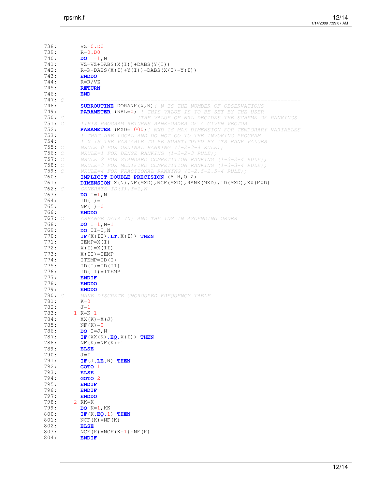| 738:             |  | $VZ=0.D0$                                                                     |
|------------------|--|-------------------------------------------------------------------------------|
| 739:             |  | $R=0.$ DO                                                                     |
| 740:             |  | $DO I=1, N$                                                                   |
| 741:             |  | $VZ=VZ+DABS(X(I))+DABS(Y(I))$                                                 |
| 742:             |  | $R=R+DABS(X(I)+Y(I))$ -DABS $(X(I)-Y(I))$                                     |
| 743:             |  | <b>ENDDO</b>                                                                  |
| 744:             |  | $R=R/VZ$                                                                      |
| 745:             |  | <b>RETURN</b>                                                                 |
| 746:             |  | <b>END</b>                                                                    |
| $747:$ $\subset$ |  |                                                                               |
| 748:             |  | <b>SUBROUTINE DORANK(X,N)!</b> N IS THE NUMBER OF OBSERVATIONS                |
| 749:             |  | PARAMETER (NRL=0) ! THIS VALUE IS TO BE SET BY THE USER                       |
| 750: C           |  | ! THE VALUE OF NRL DECIDES THE SCHEME OF RANKINGS                             |
| 751: C           |  | ! THIS PROGRAM RETURNS RANK-ORDER OF A GIVEN VECTOR                           |
| 752:             |  | PARAMETER (MXD=1000)! MXD IS MAX DIMENSION FOR TEMPORARY VARIABLES            |
| 753:             |  | ! THAT ARE LOCAL AND DO NOT GO TO THE INVOKING PROGRAM                        |
| 754:             |  | ! X IS THE VARIABLE TO BE SUBSTITUTED BY ITS RANK VALUES                      |
| $755:$ $\subset$ |  | NRULE=0 FOR ORDINAL RANKING $(1-2-3-4$ RULE);                                 |
| 756: C           |  | NRULE=1 FOR DENSE RANKING $(1-2-2-3$ RULE);                                   |
| 757: C           |  | NRULE=2 FOR STANDARD COMPETITION RANKING (1-2-2-4 RULE);                      |
| 758: C           |  | NRULE=3 FOR MODIFIED COMPETITION RANKING (1-3-3-4 RULE);                      |
| 759: C           |  | NRULE=4 FOR FRACTIONAL RANKING $(1-2.5-2.5-4$ RULE);                          |
| 760:             |  | IMPLICIT DOUBLE PRECISION (A-H, O-Z)                                          |
| 761:             |  | <b>DIMENSION</b> $X(N)$ , NF (MXD), NCF (MXD), RANK (MXD), ID (MXD), XX (MXD) |
| 762: C           |  | GENERATE ID(I), $I=1$ , N                                                     |
| 763:             |  | $DO I=1, N$                                                                   |
| 764:             |  | $ID(I) = I$                                                                   |
| 765:             |  | $NF(I) = 0$                                                                   |
| 766:             |  | <b>ENDDO</b>                                                                  |
| $767:$ $\subset$ |  | ARRANGE DATA (X) AND THE IDS IN ASCENDING ORDER                               |
| 768:             |  | <b>DO</b> $I=1, N-1$                                                          |
| 769:             |  | $DO$ $II=I,N$                                                                 |
| 770:             |  | IF $(X(II)$ .LT. $X(I))$ THEN                                                 |
| 771:             |  |                                                                               |
| 772:             |  | $TEMP=X(I)$                                                                   |
| 773:             |  | $X(I) = X(II)$                                                                |
|                  |  | $X(II) = TEMP$                                                                |
| 774:<br>775:     |  | $ITEMP = ID(I)$                                                               |
|                  |  | $ID(I) = ID(II)$                                                              |
| 776:             |  | $ID(II)=ITEMP$                                                                |
| 777:             |  | <b>ENDIF</b>                                                                  |
| 778:             |  | <b>ENDDO</b>                                                                  |
| 779:             |  | <b>ENDDO</b>                                                                  |
| 780: C           |  | MAKE DISCRETE UNGROUPED FREQUENCY TABLE                                       |
| 781:             |  | $K=0$                                                                         |
| 782:             |  | $J=1$                                                                         |
| 783:             |  | $1 K=K+1$                                                                     |
| 784:             |  | $XX(K) = X(J)$                                                                |
| 785:             |  | $NF(K) = 0$                                                                   |
| 786:             |  | $DO I=J, N$                                                                   |
| 787:             |  | IF $(XX(K), EQ, X(I))$ THEN                                                   |
| 788:             |  | $NF(K) = NF(K) + 1$                                                           |
| 789:             |  | <b>ELSE</b>                                                                   |
| 790:             |  | $J = I$                                                                       |
| 791:             |  | $IF(J.LE.N)$ THEN                                                             |
| 792:             |  | GOTO 1                                                                        |
| 793:             |  | <b>ELSE</b>                                                                   |
| 794:             |  | GOTO <sub>2</sub>                                                             |
| 795:             |  | <b>ENDIF</b>                                                                  |
| 796:             |  | <b>ENDIF</b>                                                                  |
| 797:             |  | <b>ENDDO</b>                                                                  |
| 798:             |  | 2 KK-K                                                                        |
| 799:             |  | $DO K=1, KK$                                                                  |
| 800:             |  | $IF(K.EQ.1)$ THEN                                                             |
| 801:             |  | $NCF(K) = NF(K)$                                                              |
| 802:             |  | <b>ELSE</b>                                                                   |
| 803:             |  | $NCF (K) = NCF (K-1) + NF (K)$                                                |
| 804:             |  | <b>ENDIF</b>                                                                  |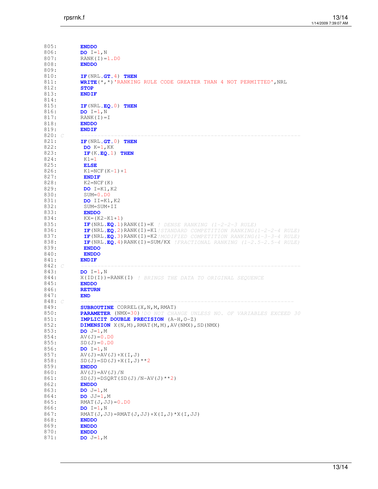| 805:         | <b>ENDDO</b>                                                                     |
|--------------|----------------------------------------------------------------------------------|
| 806:         | $DO I=1, N$                                                                      |
| 807:         | RANK $(I) = 1.$ DO                                                               |
| 808:         | <b>ENDDO</b>                                                                     |
| 809:         |                                                                                  |
| 810:         | $IF(NRL.GT.4)$ THEN                                                              |
| 811:         | WRITE(*,*) 'RANKING RULE CODE GREATER THAN 4 NOT PERMITTED', NRL                 |
| 812:         | <b>STOP</b>                                                                      |
| 813:         | <b>ENDIF</b>                                                                     |
| 814:         |                                                                                  |
| 815:         | $IF(NRL.EQ.0)$ THEN                                                              |
| 816:         | $DO I=1, N$                                                                      |
| 817:         | $RANK(I)=I$                                                                      |
| 818:         | <b>ENDDO</b>                                                                     |
| 819:         | <b>ENDIF</b>                                                                     |
| 820: $C$     |                                                                                  |
|              |                                                                                  |
| 821:         | $IF(NRL.GT.0)$ THEN                                                              |
| 822:         | $DO K=1, KK$                                                                     |
| 823:         | $IF(K.EQ.1)$ THEN                                                                |
| 824:         | $K1 = 1$                                                                         |
| 825:         | <b>ELSE</b>                                                                      |
| 826:         | $K1 = NCF (K-1) + 1$                                                             |
| 827:         | <b>ENDIF</b>                                                                     |
| 828:         | $K2=NCF(K)$                                                                      |
| 829:         | $DO$ I=K1, K2                                                                    |
| 830:         | $SUM=0.D0$                                                                       |
| 831:         | $DO$ II=K1, K2                                                                   |
| 832:         | SUM=SUM+II                                                                       |
| 833:         | <b>ENDDO</b>                                                                     |
| 834:         | $KX = (K2 - K1 + 1)$                                                             |
| 835:         | <b>IF (NRL.EQ.1) RANK (I)=K</b> ! DENSE RANKING $(1-2-2-3$ RULE)                 |
| 836:         | <b>IF (NRL.EQ.2) RANK (I)=K1</b> ! STANDARD COMPETITION RANKING $(1-2-2-4$ RULE) |
| 837:         | <b>IF (NRL.EQ.3) RANK (I)=K2</b> !MODIFIED COMPETITION RANKING $(1-3-3-4$ RULE)  |
| 838:         | <b>IF (NRL.EQ.4) RANK (I)=SUM/KX</b> !FRACTIONAL RANKING $(1-2.5-2.5-4$ RULE)    |
| 839:         | <b>ENDDO</b>                                                                     |
| 840:         | <b>ENDDO</b>                                                                     |
| 841:         | <b>ENDIF</b>                                                                     |
| 842: $C$     |                                                                                  |
| 843:         |                                                                                  |
|              | $DO I=1, N$                                                                      |
| 844:         | X(ID(I))=RANK(I) / BRINGS THE DATA TO ORIGINAL SEQUENCE                          |
| 845:         | <b>ENDDO</b>                                                                     |
| 846:         | <b>RETURN</b>                                                                    |
| 847:         | <b>END</b>                                                                       |
| 848: C       |                                                                                  |
| 849:         | <b>SUBROUTINE</b> CORREL (X, N, M, RMAT)                                         |
| 850:         | PARAMETER (NMX=30)!DO NOT CHANGE UNLESS NO. OF VARIABLES EXCEED 30               |
| 851:         | IMPLICIT DOUBLE PRECISION (A-H, O-Z)                                             |
| 852:         | <b>DIMENSION</b> $X(N, M)$ , RMAT $(M, M)$ , AV $(NMX)$ , SD $(NMX)$             |
| 853:         | $DO$ $J=1$ , M                                                                   |
| 854:         | $AV(J) = 0. D0$                                                                  |
| 855:         | $SD(J) = 0. D0$                                                                  |
| 856:         | $DO I=1, N$                                                                      |
| 857:         | AV (J) = AV (J) + X (I, J)                                                       |
| 858:         | $SD(J) = SD(J) + X(I, J) * * 2$                                                  |
| 859:         | <b>ENDDO</b>                                                                     |
| 860:         | $AV(J) = AV(J)/N$                                                                |
| 861:         | SD(J)=DSQRT(SD(J)/N-AV(J)**2)                                                    |
| 862:         | <b>ENDDO</b>                                                                     |
| 863:         | $DO$ $J=1$ , M                                                                   |
|              |                                                                                  |
| 864:         | $DO$ $JJ=1, M$                                                                   |
| 865:         | RMAT $(J,JJ)=0.$ DO                                                              |
| 866:         |                                                                                  |
| 867:         | $DO I=1, N$                                                                      |
|              | RMAT $(J, JJ)$ = RMAT $(J, JJ)$ + X $(I, J)$ * X $(I, JJ)$                       |
| 868:         | <b>ENDDO</b>                                                                     |
| 869:         | <b>ENDDO</b>                                                                     |
| 870:<br>871: | <b>ENDDO</b><br>$DO$ $J=1$ , M                                                   |